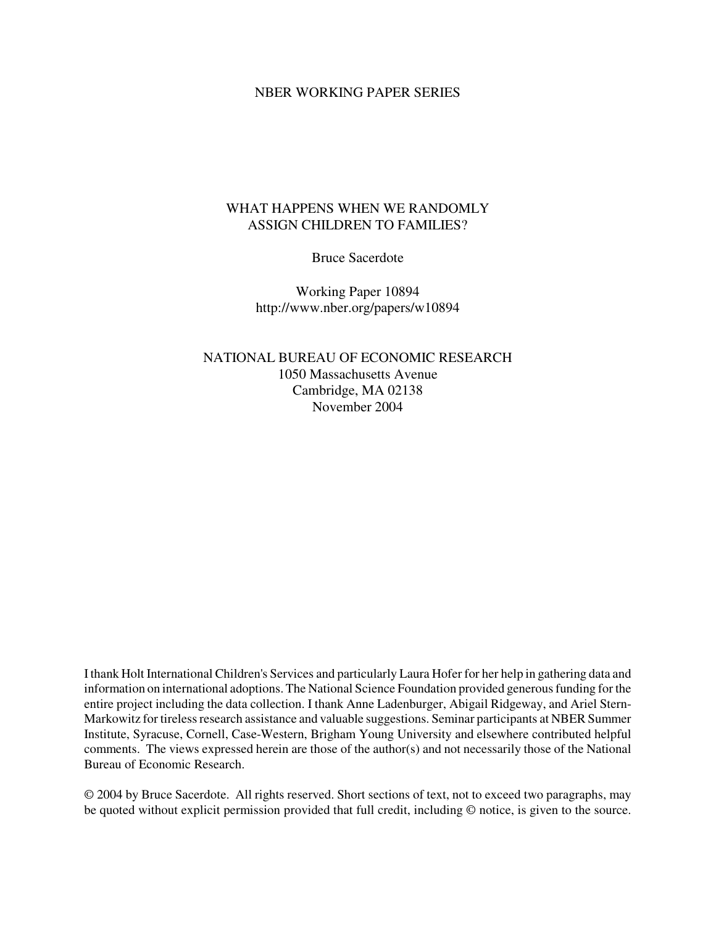#### NBER WORKING PAPER SERIES

### WHAT HAPPENS WHEN WE RANDOMLY ASSIGN CHILDREN TO FAMILIES?

Bruce Sacerdote

Working Paper 10894 http://www.nber.org/papers/w10894

NATIONAL BUREAU OF ECONOMIC RESEARCH 1050 Massachusetts Avenue Cambridge, MA 02138 November 2004

Ithank Holt International Children's Services and particularly Laura Hofer for her help in gathering data and information on international adoptions. The National Science Foundation provided generous funding for the entire project including the data collection. I thank Anne Ladenburger, Abigail Ridgeway, and Ariel Stern-Markowitz for tireless research assistance and valuable suggestions. Seminar participants at NBER Summer Institute, Syracuse, Cornell, Case-Western, Brigham Young University and elsewhere contributed helpful comments. The views expressed herein are those of the author(s) and not necessarily those of the National Bureau of Economic Research.

© 2004 by Bruce Sacerdote. All rights reserved. Short sections of text, not to exceed two paragraphs, may be quoted without explicit permission provided that full credit, including © notice, is given to the source.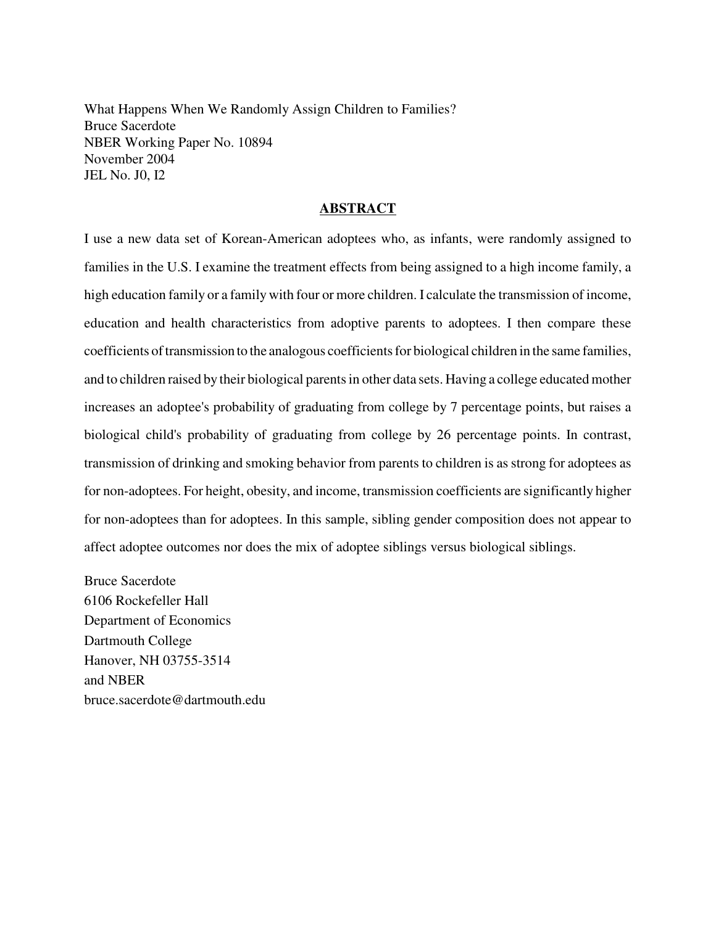What Happens When We Randomly Assign Children to Families? Bruce Sacerdote NBER Working Paper No. 10894 November 2004 JEL No. J0, I2

#### **ABSTRACT**

I use a new data set of Korean-American adoptees who, as infants, were randomly assigned to families in the U.S. I examine the treatment effects from being assigned to a high income family, a high education family or a family with four or more children. I calculate the transmission of income, education and health characteristics from adoptive parents to adoptees. I then compare these coefficients of transmission to the analogous coefficients for biological children in the same families, and to children raised by their biological parents in other data sets. Having a college educated mother increases an adoptee's probability of graduating from college by 7 percentage points, but raises a biological child's probability of graduating from college by 26 percentage points. In contrast, transmission of drinking and smoking behavior from parents to children is as strong for adoptees as for non-adoptees. For height, obesity, and income, transmission coefficients are significantly higher for non-adoptees than for adoptees. In this sample, sibling gender composition does not appear to affect adoptee outcomes nor does the mix of adoptee siblings versus biological siblings.

Bruce Sacerdote 6106 Rockefeller Hall Department of Economics Dartmouth College Hanover, NH 03755-3514 and NBER bruce.sacerdote@dartmouth.edu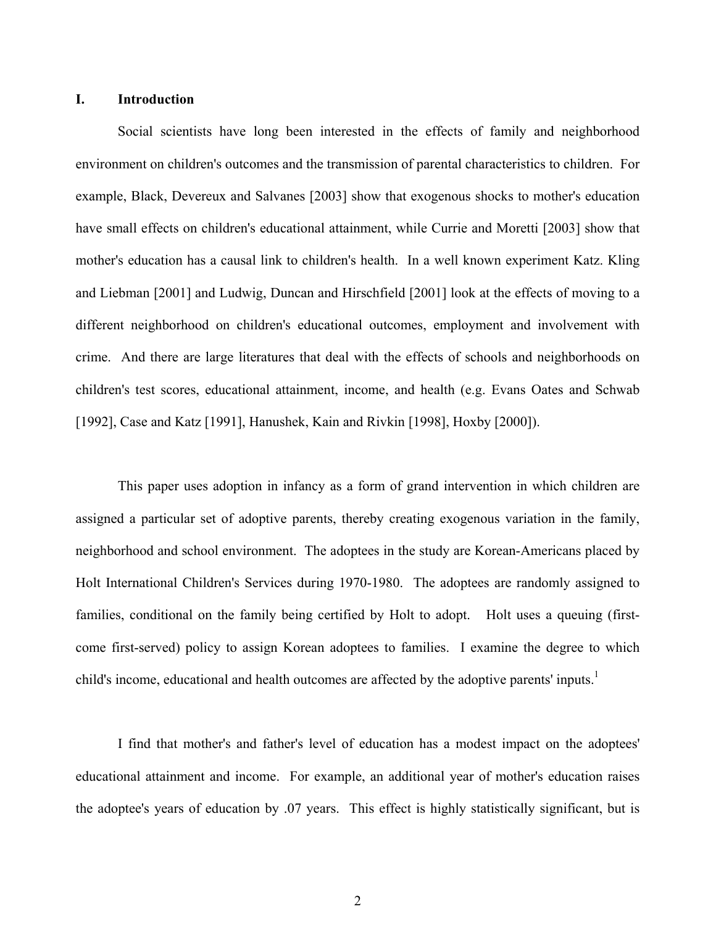#### **I. Introduction**

 Social scientists have long been interested in the effects of family and neighborhood environment on children's outcomes and the transmission of parental characteristics to children. For example, Black, Devereux and Salvanes [2003] show that exogenous shocks to mother's education have small effects on children's educational attainment, while Currie and Moretti [2003] show that mother's education has a causal link to children's health. In a well known experiment Katz. Kling and Liebman [2001] and Ludwig, Duncan and Hirschfield [2001] look at the effects of moving to a different neighborhood on children's educational outcomes, employment and involvement with crime. And there are large literatures that deal with the effects of schools and neighborhoods on children's test scores, educational attainment, income, and health (e.g. Evans Oates and Schwab [1992], Case and Katz [1991], Hanushek, Kain and Rivkin [1998], Hoxby [2000]).

 This paper uses adoption in infancy as a form of grand intervention in which children are assigned a particular set of adoptive parents, thereby creating exogenous variation in the family, neighborhood and school environment. The adoptees in the study are Korean-Americans placed by Holt International Children's Services during 1970-1980. The adoptees are randomly assigned to families, conditional on the family being certified by Holt to adopt. Holt uses a queuing (firstcome first-served) policy to assign Korean adoptees to families. I examine the degree to which child's income, educational and health outcomes are affected by the adoptive parents' inputs.<sup>1</sup>

 I find that mother's and father's level of education has a modest impact on the adoptees' educational attainment and income. For example, an additional year of mother's education raises the adoptee's years of education by .07 years. This effect is highly statistically significant, but is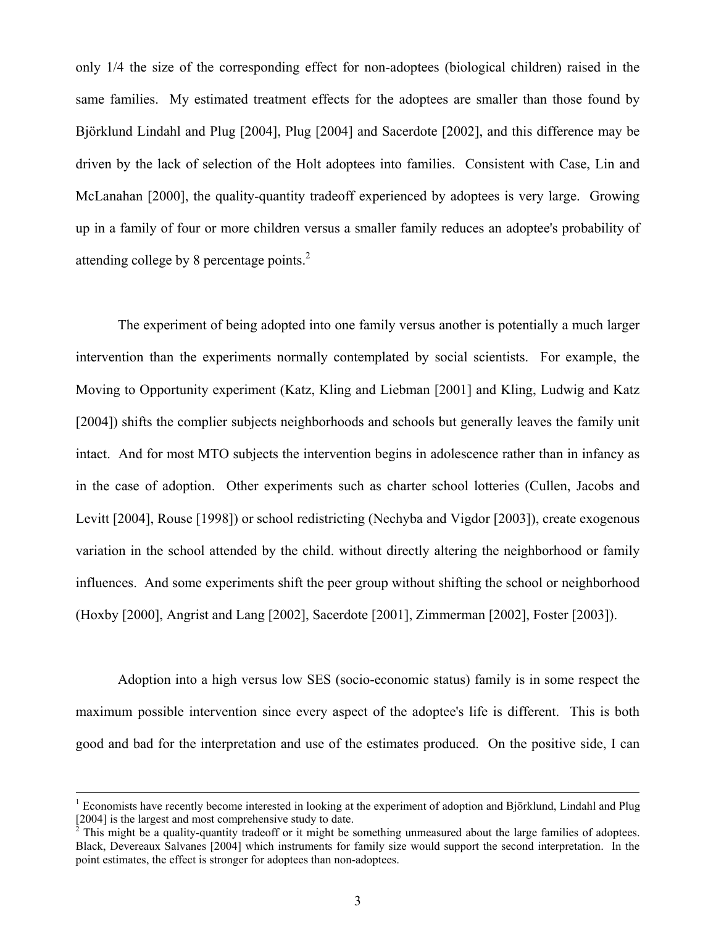only 1/4 the size of the corresponding effect for non-adoptees (biological children) raised in the same families. My estimated treatment effects for the adoptees are smaller than those found by Björklund Lindahl and Plug [2004], Plug [2004] and Sacerdote [2002], and this difference may be driven by the lack of selection of the Holt adoptees into families. Consistent with Case, Lin and McLanahan [2000], the quality-quantity tradeoff experienced by adoptees is very large. Growing up in a family of four or more children versus a smaller family reduces an adoptee's probability of attending college by 8 percentage points.<sup>2</sup>

 The experiment of being adopted into one family versus another is potentially a much larger intervention than the experiments normally contemplated by social scientists. For example, the Moving to Opportunity experiment (Katz, Kling and Liebman [2001] and Kling, Ludwig and Katz [2004]) shifts the complier subjects neighborhoods and schools but generally leaves the family unit intact. And for most MTO subjects the intervention begins in adolescence rather than in infancy as in the case of adoption. Other experiments such as charter school lotteries (Cullen, Jacobs and Levitt [2004], Rouse [1998]) or school redistricting (Nechyba and Vigdor [2003]), create exogenous variation in the school attended by the child. without directly altering the neighborhood or family influences. And some experiments shift the peer group without shifting the school or neighborhood (Hoxby [2000], Angrist and Lang [2002], Sacerdote [2001], Zimmerman [2002], Foster [2003]).

 Adoption into a high versus low SES (socio-economic status) family is in some respect the maximum possible intervention since every aspect of the adoptee's life is different. This is both good and bad for the interpretation and use of the estimates produced. On the positive side, I can

 $\frac{1}{1}$ <sup>1</sup> Economists have recently become interested in looking at the experiment of adoption and Björklund, Lindahl and Plug [2004] is the largest and most comprehensive study to date.<br> $\frac{2}{3}$  This might be a quality quantity tradeoff or it might be a

This might be a quality-quantity tradeoff or it might be something unmeasured about the large families of adoptees. Black, Devereaux Salvanes [2004] which instruments for family size would support the second interpretation. In the point estimates, the effect is stronger for adoptees than non-adoptees.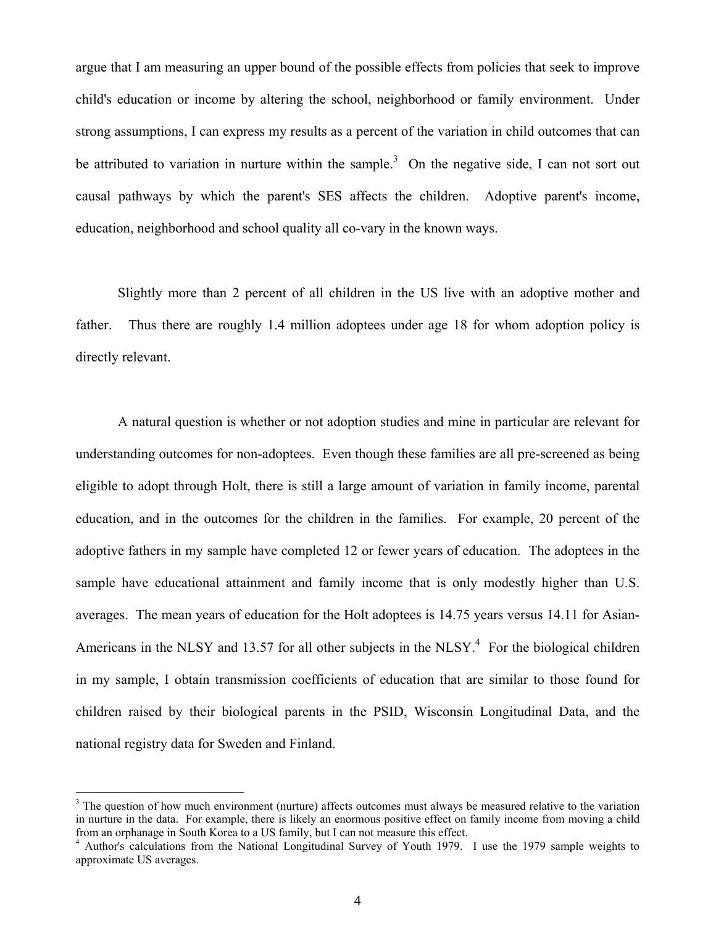argue that I am measuring an upper bound of the possible effects from policies that seek to improve child's education or income by altering the school, neighborhood or family environment. Under strong assumptions, I can express my results as a percent of the variation in child outcomes that can be attributed to variation in nurture within the sample.<sup>3</sup> On the negative side, I can not sort out causal pathways by which the parent's SES affects the children. Adoptive parent's income, education, neighborhood and school quality all co-vary in the known ways.

 Slightly more than 2 percent of all children in the US live with an adoptive mother and father. Thus there are roughly 1.4 million adoptees under age 18 for whom adoption policy is directly relevant.

 A natural question is whether or not adoption studies and mine in particular are relevant for understanding outcomes for non-adoptees. Even though these families are all pre-screened as being eligible to adopt through Holt, there is still a large amount of variation in family income, parental education, and in the outcomes for the children in the families. For example, 20 percent of the adoptive fathers in my sample have completed 12 or fewer years of education. The adoptees in the sample have educational attainment and family income that is only modestly higher than U.S. averages. The mean years of education for the Holt adoptees is 14.75 years versus 14.11 for Asian-Americans in the NLSY and 13.57 for all other subjects in the NLSY. $4$  For the biological children in my sample, I obtain transmission coefficients of education that are similar to those found for children raised by their biological parents in the PSID, Wisconsin Longitudinal Data, and the national registry data for Sweden and Finland.

 $\overline{a}$ 

 $3$  The question of how much environment (nurture) affects outcomes must always be measured relative to the variation in nurture in the data. For example, there is likely an enormous positive effect on family income from moving a child from an orphanage in South Korea to a US family, but I can not measure this effect. 4

<sup>&</sup>lt;sup>4</sup> Author's calculations from the National Longitudinal Survey of Youth 1979. I use the 1979 sample weights to approximate US averages.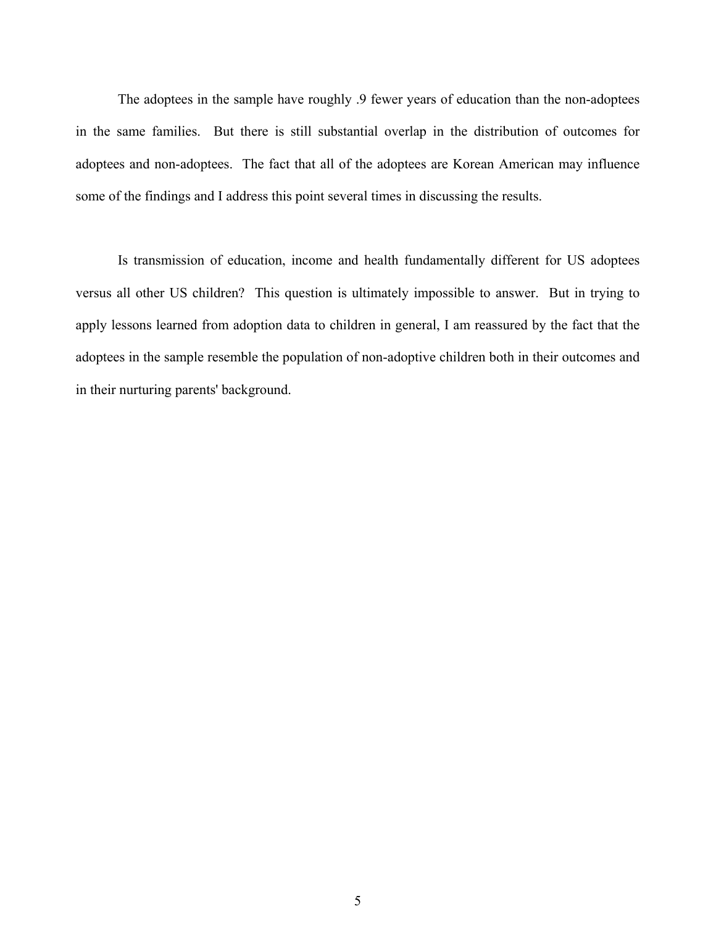The adoptees in the sample have roughly .9 fewer years of education than the non-adoptees in the same families. But there is still substantial overlap in the distribution of outcomes for adoptees and non-adoptees. The fact that all of the adoptees are Korean American may influence some of the findings and I address this point several times in discussing the results.

 Is transmission of education, income and health fundamentally different for US adoptees versus all other US children? This question is ultimately impossible to answer. But in trying to apply lessons learned from adoption data to children in general, I am reassured by the fact that the adoptees in the sample resemble the population of non-adoptive children both in their outcomes and in their nurturing parents' background.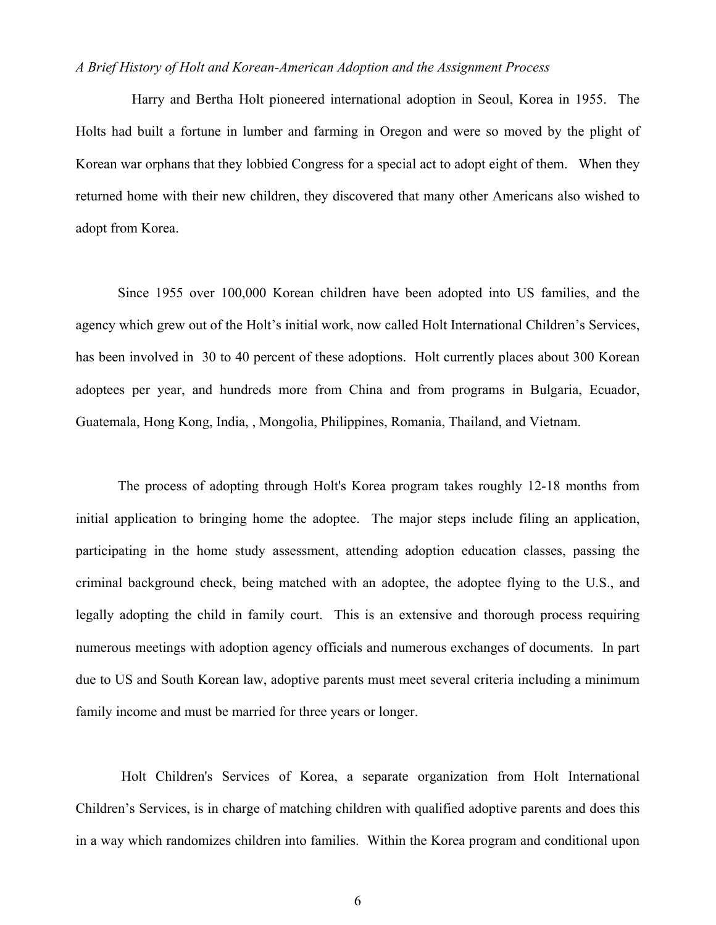#### *A Brief History of Holt and Korean-American Adoption and the Assignment Process*

 Harry and Bertha Holt pioneered international adoption in Seoul, Korea in 1955. The Holts had built a fortune in lumber and farming in Oregon and were so moved by the plight of Korean war orphans that they lobbied Congress for a special act to adopt eight of them. When they returned home with their new children, they discovered that many other Americans also wished to adopt from Korea.

 Since 1955 over 100,000 Korean children have been adopted into US families, and the agency which grew out of the Holt's initial work, now called Holt International Children's Services, has been involved in 30 to 40 percent of these adoptions. Holt currently places about 300 Korean adoptees per year, and hundreds more from China and from programs in Bulgaria, Ecuador, Guatemala, Hong Kong, India, , Mongolia, Philippines, Romania, Thailand, and Vietnam.

 The process of adopting through Holt's Korea program takes roughly 12-18 months from initial application to bringing home the adoptee. The major steps include filing an application, participating in the home study assessment, attending adoption education classes, passing the criminal background check, being matched with an adoptee, the adoptee flying to the U.S., and legally adopting the child in family court. This is an extensive and thorough process requiring numerous meetings with adoption agency officials and numerous exchanges of documents. In part due to US and South Korean law, adoptive parents must meet several criteria including a minimum family income and must be married for three years or longer.

 Holt Children's Services of Korea, a separate organization from Holt International Children's Services, is in charge of matching children with qualified adoptive parents and does this in a way which randomizes children into families. Within the Korea program and conditional upon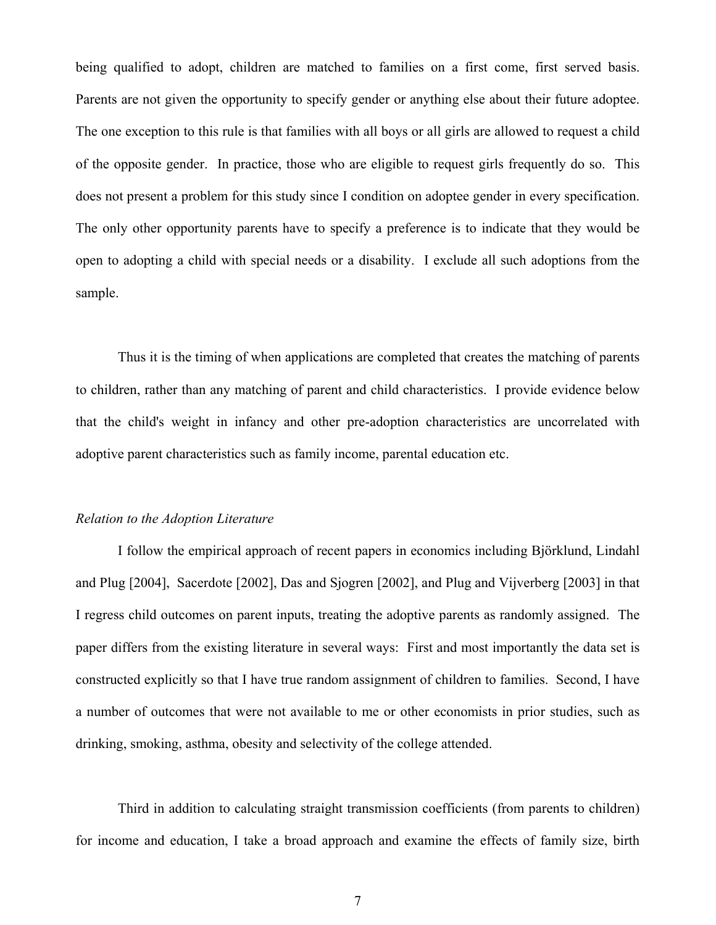being qualified to adopt, children are matched to families on a first come, first served basis. Parents are not given the opportunity to specify gender or anything else about their future adoptee. The one exception to this rule is that families with all boys or all girls are allowed to request a child of the opposite gender. In practice, those who are eligible to request girls frequently do so. This does not present a problem for this study since I condition on adoptee gender in every specification. The only other opportunity parents have to specify a preference is to indicate that they would be open to adopting a child with special needs or a disability. I exclude all such adoptions from the sample.

 Thus it is the timing of when applications are completed that creates the matching of parents to children, rather than any matching of parent and child characteristics. I provide evidence below that the child's weight in infancy and other pre-adoption characteristics are uncorrelated with adoptive parent characteristics such as family income, parental education etc.

#### *Relation to the Adoption Literature*

 I follow the empirical approach of recent papers in economics including Björklund, Lindahl and Plug [2004], Sacerdote [2002], Das and Sjogren [2002], and Plug and Vijverberg [2003] in that I regress child outcomes on parent inputs, treating the adoptive parents as randomly assigned. The paper differs from the existing literature in several ways: First and most importantly the data set is constructed explicitly so that I have true random assignment of children to families. Second, I have a number of outcomes that were not available to me or other economists in prior studies, such as drinking, smoking, asthma, obesity and selectivity of the college attended.

 Third in addition to calculating straight transmission coefficients (from parents to children) for income and education, I take a broad approach and examine the effects of family size, birth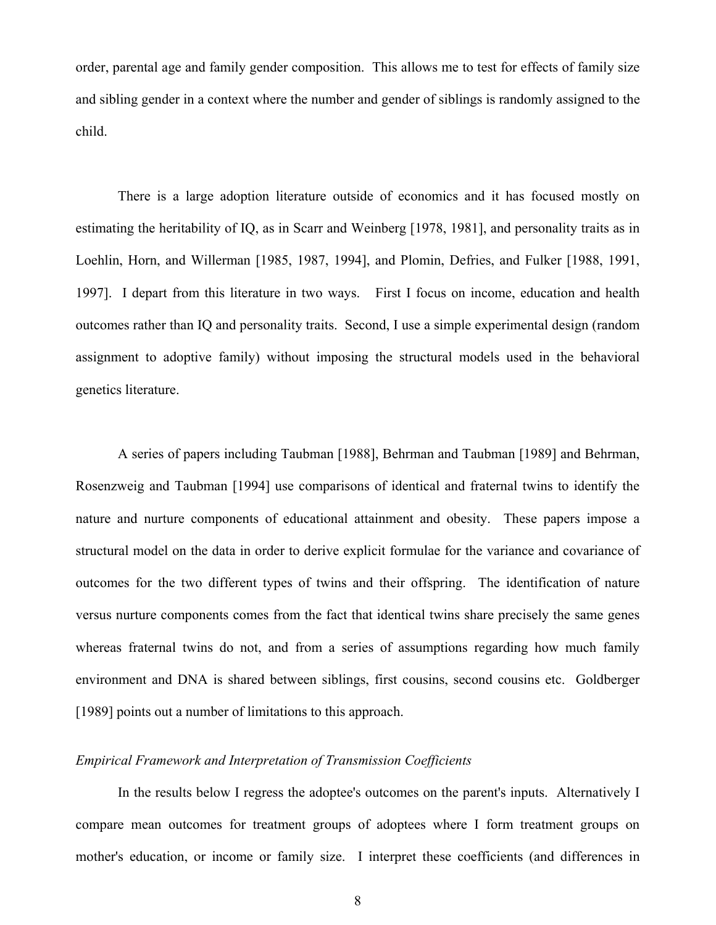order, parental age and family gender composition. This allows me to test for effects of family size and sibling gender in a context where the number and gender of siblings is randomly assigned to the child.

 There is a large adoption literature outside of economics and it has focused mostly on estimating the heritability of IQ, as in Scarr and Weinberg [1978, 1981], and personality traits as in Loehlin, Horn, and Willerman [1985, 1987, 1994], and Plomin, Defries, and Fulker [1988, 1991, 1997]. I depart from this literature in two ways. First I focus on income, education and health outcomes rather than IQ and personality traits. Second, I use a simple experimental design (random assignment to adoptive family) without imposing the structural models used in the behavioral genetics literature.

A series of papers including Taubman [1988], Behrman and Taubman [1989] and Behrman, Rosenzweig and Taubman [1994] use comparisons of identical and fraternal twins to identify the nature and nurture components of educational attainment and obesity. These papers impose a structural model on the data in order to derive explicit formulae for the variance and covariance of outcomes for the two different types of twins and their offspring. The identification of nature versus nurture components comes from the fact that identical twins share precisely the same genes whereas fraternal twins do not, and from a series of assumptions regarding how much family environment and DNA is shared between siblings, first cousins, second cousins etc. Goldberger [1989] points out a number of limitations to this approach.

#### *Empirical Framework and Interpretation of Transmission Coefficients*

 In the results below I regress the adoptee's outcomes on the parent's inputs. Alternatively I compare mean outcomes for treatment groups of adoptees where I form treatment groups on mother's education, or income or family size. I interpret these coefficients (and differences in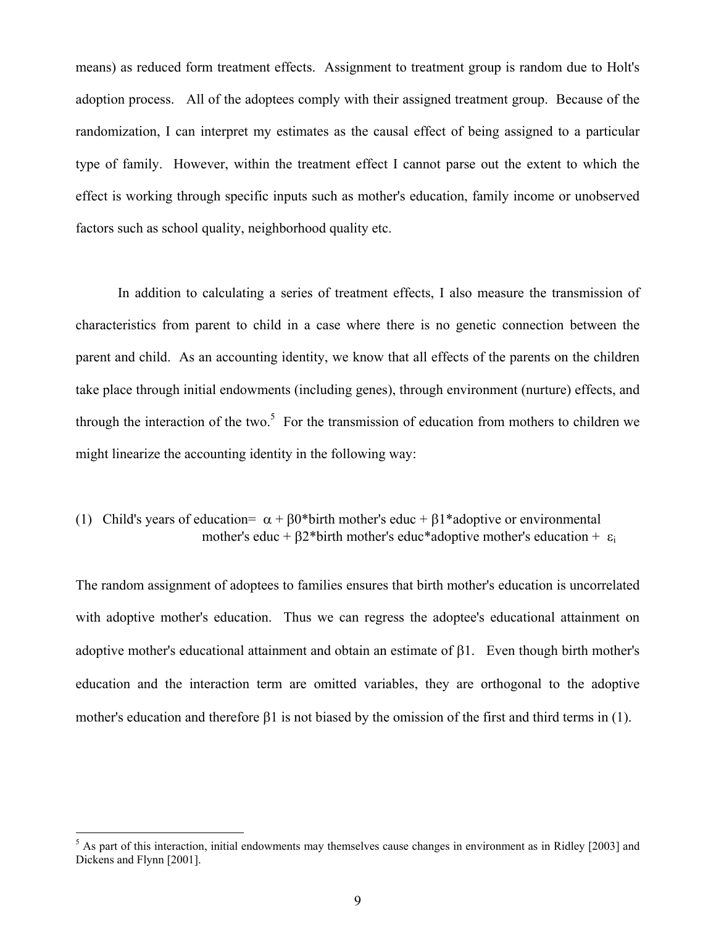means) as reduced form treatment effects. Assignment to treatment group is random due to Holt's adoption process. All of the adoptees comply with their assigned treatment group. Because of the randomization, I can interpret my estimates as the causal effect of being assigned to a particular type of family. However, within the treatment effect I cannot parse out the extent to which the effect is working through specific inputs such as mother's education, family income or unobserved factors such as school quality, neighborhood quality etc.

 In addition to calculating a series of treatment effects, I also measure the transmission of characteristics from parent to child in a case where there is no genetic connection between the parent and child. As an accounting identity, we know that all effects of the parents on the children take place through initial endowments (including genes), through environment (nurture) effects, and through the interaction of the two.<sup>5</sup> For the transmission of education from mothers to children we might linearize the accounting identity in the following way:

### (1) Child's years of education=  $\alpha + \beta 0^*$  birth mother's educ +  $\beta 1^*$  adoptive or environmental mother's educ +  $\beta$ 2\*birth mother's educ\*adoptive mother's education +  $\varepsilon_i$

The random assignment of adoptees to families ensures that birth mother's education is uncorrelated with adoptive mother's education. Thus we can regress the adoptee's educational attainment on adoptive mother's educational attainment and obtain an estimate of β1. Even though birth mother's education and the interaction term are omitted variables, they are orthogonal to the adoptive mother's education and therefore β1 is not biased by the omission of the first and third terms in (1).

<sup>&</sup>lt;sup>5</sup> As part of this interaction, initial endowments may themselves cause changes in environment as in Ridley [2003] and Dickens and Flynn [2001].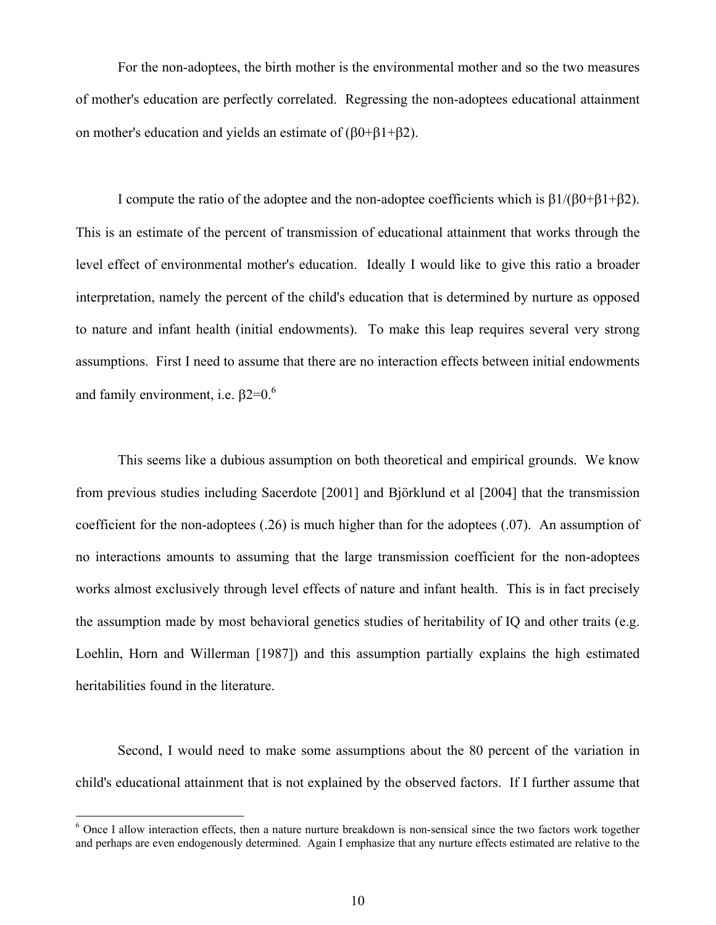For the non-adoptees, the birth mother is the environmental mother and so the two measures of mother's education are perfectly correlated. Regressing the non-adoptees educational attainment on mother's education and yields an estimate of (β0+β1+β2).

 I compute the ratio of the adoptee and the non-adoptee coefficients which is β1/(β0+β1+β2). This is an estimate of the percent of transmission of educational attainment that works through the level effect of environmental mother's education. Ideally I would like to give this ratio a broader interpretation, namely the percent of the child's education that is determined by nurture as opposed to nature and infant health (initial endowments). To make this leap requires several very strong assumptions. First I need to assume that there are no interaction effects between initial endowments and family environment, i.e.  $\beta$ 2=0.<sup>6</sup>

 This seems like a dubious assumption on both theoretical and empirical grounds. We know from previous studies including Sacerdote [2001] and Björklund et al [2004] that the transmission coefficient for the non-adoptees (.26) is much higher than for the adoptees (.07). An assumption of no interactions amounts to assuming that the large transmission coefficient for the non-adoptees works almost exclusively through level effects of nature and infant health. This is in fact precisely the assumption made by most behavioral genetics studies of heritability of IQ and other traits (e.g. Loehlin, Horn and Willerman [1987]) and this assumption partially explains the high estimated heritabilities found in the literature.

 Second, I would need to make some assumptions about the 80 percent of the variation in child's educational attainment that is not explained by the observed factors. If I further assume that

 $\overline{a}$ 

<sup>&</sup>lt;sup>6</sup> Once I allow interaction effects, then a nature nurture breakdown is non-sensical since the two factors work together and perhaps are even endogenously determined. Again I emphasize that any nurture effects estimated are relative to the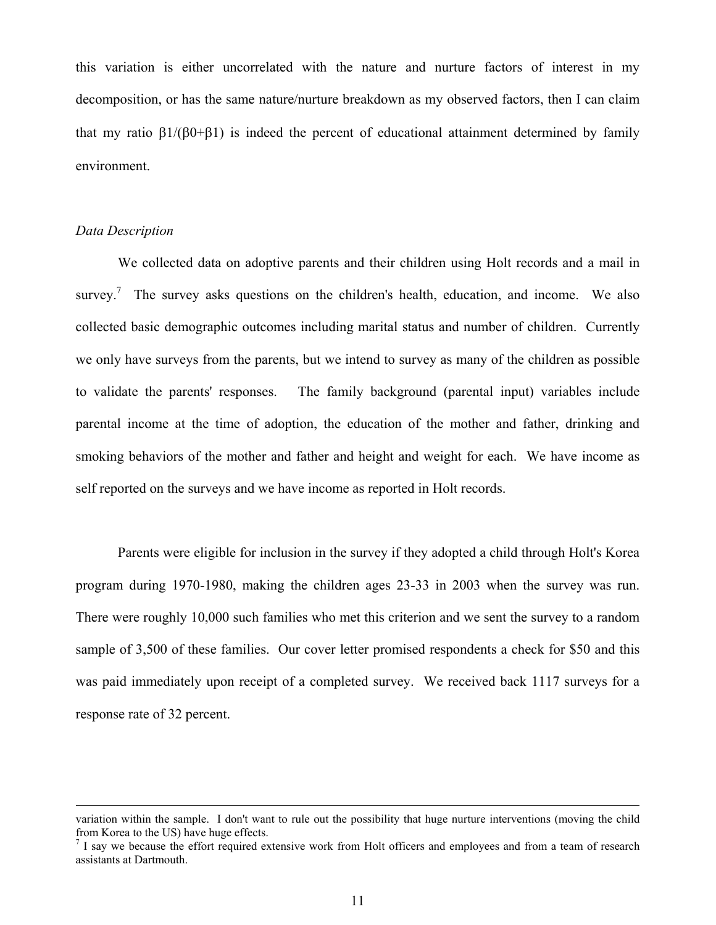this variation is either uncorrelated with the nature and nurture factors of interest in my decomposition, or has the same nature/nurture breakdown as my observed factors, then I can claim that my ratio  $\beta$ 1/( $\beta$ 0+ $\beta$ 1) is indeed the percent of educational attainment determined by family environment.

#### *Data Description*

 We collected data on adoptive parents and their children using Holt records and a mail in survey.<sup>7</sup> The survey asks questions on the children's health, education, and income. We also collected basic demographic outcomes including marital status and number of children. Currently we only have surveys from the parents, but we intend to survey as many of the children as possible to validate the parents' responses. The family background (parental input) variables include parental income at the time of adoption, the education of the mother and father, drinking and smoking behaviors of the mother and father and height and weight for each. We have income as self reported on the surveys and we have income as reported in Holt records.

 Parents were eligible for inclusion in the survey if they adopted a child through Holt's Korea program during 1970-1980, making the children ages 23-33 in 2003 when the survey was run. There were roughly 10,000 such families who met this criterion and we sent the survey to a random sample of 3,500 of these families. Our cover letter promised respondents a check for \$50 and this was paid immediately upon receipt of a completed survey. We received back 1117 surveys for a response rate of 32 percent.

variation within the sample. I don't want to rule out the possibility that huge nurture interventions (moving the child from Korea to the US) have huge effects.

<sup>&</sup>lt;sup>7</sup> I say we because the effort required extensive work from Holt officers and employees and from a team of research assistants at Dartmouth.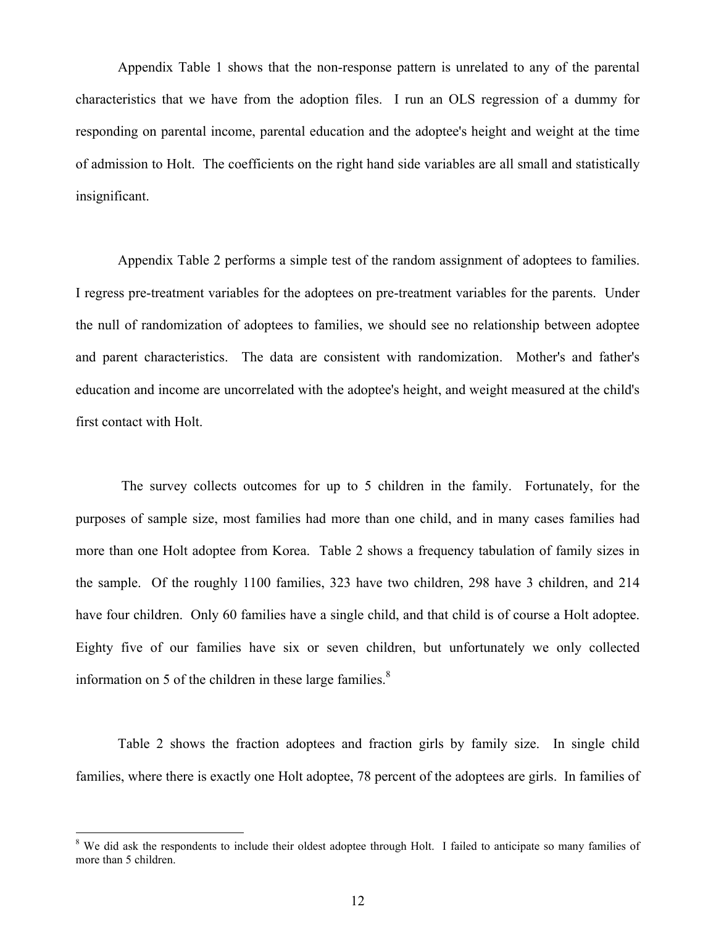Appendix Table 1 shows that the non-response pattern is unrelated to any of the parental characteristics that we have from the adoption files. I run an OLS regression of a dummy for responding on parental income, parental education and the adoptee's height and weight at the time of admission to Holt. The coefficients on the right hand side variables are all small and statistically insignificant.

 Appendix Table 2 performs a simple test of the random assignment of adoptees to families. I regress pre-treatment variables for the adoptees on pre-treatment variables for the parents. Under the null of randomization of adoptees to families, we should see no relationship between adoptee and parent characteristics. The data are consistent with randomization. Mother's and father's education and income are uncorrelated with the adoptee's height, and weight measured at the child's first contact with Holt.

 The survey collects outcomes for up to 5 children in the family. Fortunately, for the purposes of sample size, most families had more than one child, and in many cases families had more than one Holt adoptee from Korea. Table 2 shows a frequency tabulation of family sizes in the sample. Of the roughly 1100 families, 323 have two children, 298 have 3 children, and 214 have four children. Only 60 families have a single child, and that child is of course a Holt adoptee. Eighty five of our families have six or seven children, but unfortunately we only collected information on 5 of the children in these large families. $8<sup>8</sup>$ 

 Table 2 shows the fraction adoptees and fraction girls by family size. In single child families, where there is exactly one Holt adoptee, 78 percent of the adoptees are girls. In families of

<sup>&</sup>lt;sup>8</sup> We did ask the respondents to include their oldest adoptee through Holt. I failed to anticipate so many families of more than 5 children.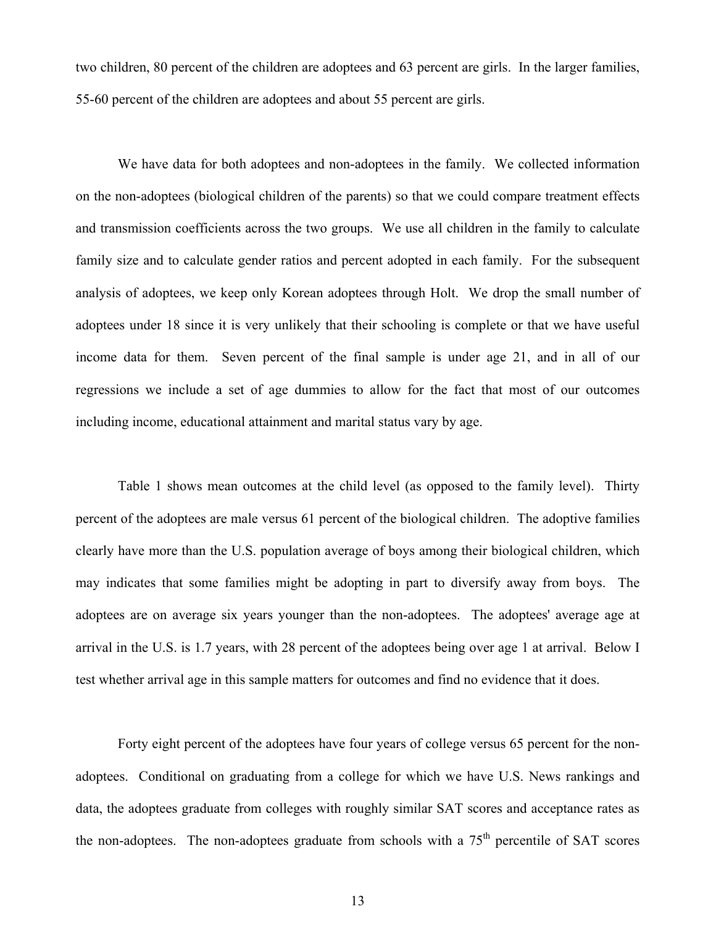two children, 80 percent of the children are adoptees and 63 percent are girls. In the larger families, 55-60 percent of the children are adoptees and about 55 percent are girls.

 We have data for both adoptees and non-adoptees in the family. We collected information on the non-adoptees (biological children of the parents) so that we could compare treatment effects and transmission coefficients across the two groups. We use all children in the family to calculate family size and to calculate gender ratios and percent adopted in each family. For the subsequent analysis of adoptees, we keep only Korean adoptees through Holt. We drop the small number of adoptees under 18 since it is very unlikely that their schooling is complete or that we have useful income data for them. Seven percent of the final sample is under age 21, and in all of our regressions we include a set of age dummies to allow for the fact that most of our outcomes including income, educational attainment and marital status vary by age.

 Table 1 shows mean outcomes at the child level (as opposed to the family level). Thirty percent of the adoptees are male versus 61 percent of the biological children. The adoptive families clearly have more than the U.S. population average of boys among their biological children, which may indicates that some families might be adopting in part to diversify away from boys. The adoptees are on average six years younger than the non-adoptees. The adoptees' average age at arrival in the U.S. is 1.7 years, with 28 percent of the adoptees being over age 1 at arrival. Below I test whether arrival age in this sample matters for outcomes and find no evidence that it does.

 Forty eight percent of the adoptees have four years of college versus 65 percent for the nonadoptees. Conditional on graduating from a college for which we have U.S. News rankings and data, the adoptees graduate from colleges with roughly similar SAT scores and acceptance rates as the non-adoptees. The non-adoptees graduate from schools with a  $75<sup>th</sup>$  percentile of SAT scores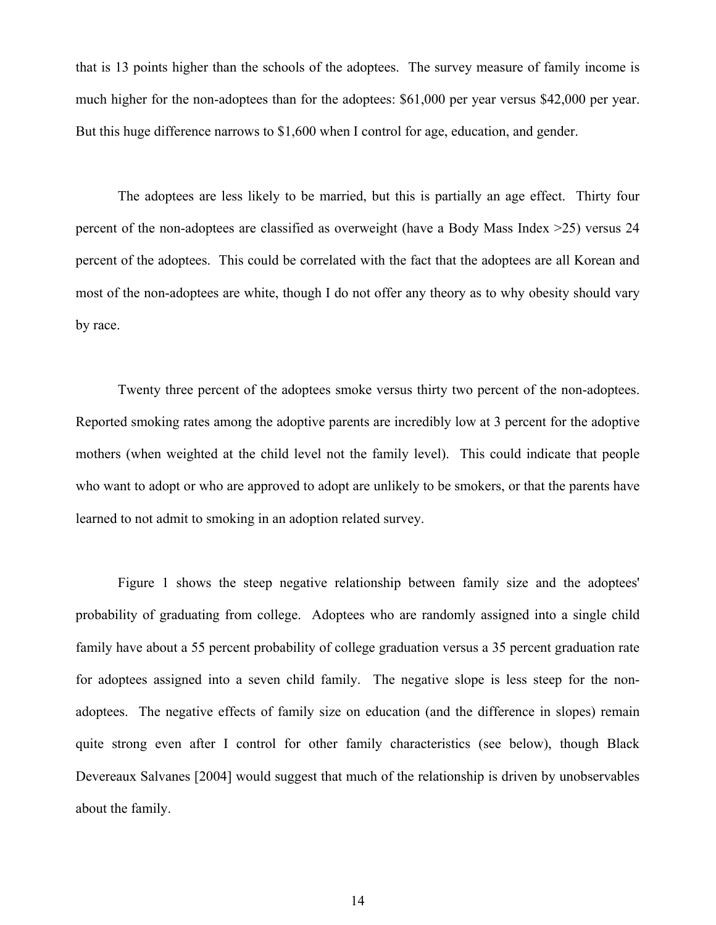that is 13 points higher than the schools of the adoptees. The survey measure of family income is much higher for the non-adoptees than for the adoptees: \$61,000 per year versus \$42,000 per year. But this huge difference narrows to \$1,600 when I control for age, education, and gender.

 The adoptees are less likely to be married, but this is partially an age effect. Thirty four percent of the non-adoptees are classified as overweight (have a Body Mass Index >25) versus 24 percent of the adoptees. This could be correlated with the fact that the adoptees are all Korean and most of the non-adoptees are white, though I do not offer any theory as to why obesity should vary by race.

 Twenty three percent of the adoptees smoke versus thirty two percent of the non-adoptees. Reported smoking rates among the adoptive parents are incredibly low at 3 percent for the adoptive mothers (when weighted at the child level not the family level). This could indicate that people who want to adopt or who are approved to adopt are unlikely to be smokers, or that the parents have learned to not admit to smoking in an adoption related survey.

 Figure 1 shows the steep negative relationship between family size and the adoptees' probability of graduating from college. Adoptees who are randomly assigned into a single child family have about a 55 percent probability of college graduation versus a 35 percent graduation rate for adoptees assigned into a seven child family. The negative slope is less steep for the nonadoptees. The negative effects of family size on education (and the difference in slopes) remain quite strong even after I control for other family characteristics (see below), though Black Devereaux Salvanes [2004] would suggest that much of the relationship is driven by unobservables about the family.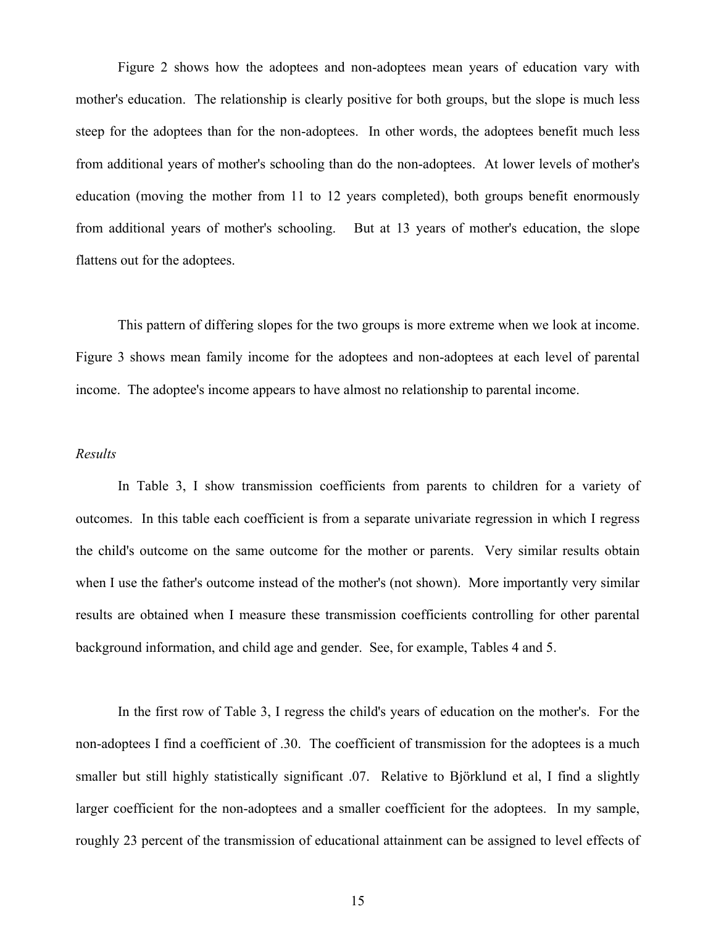Figure 2 shows how the adoptees and non-adoptees mean years of education vary with mother's education. The relationship is clearly positive for both groups, but the slope is much less steep for the adoptees than for the non-adoptees. In other words, the adoptees benefit much less from additional years of mother's schooling than do the non-adoptees. At lower levels of mother's education (moving the mother from 11 to 12 years completed), both groups benefit enormously from additional years of mother's schooling. But at 13 years of mother's education, the slope flattens out for the adoptees.

 This pattern of differing slopes for the two groups is more extreme when we look at income. Figure 3 shows mean family income for the adoptees and non-adoptees at each level of parental income. The adoptee's income appears to have almost no relationship to parental income.

#### *Results*

 In Table 3, I show transmission coefficients from parents to children for a variety of outcomes. In this table each coefficient is from a separate univariate regression in which I regress the child's outcome on the same outcome for the mother or parents. Very similar results obtain when I use the father's outcome instead of the mother's (not shown). More importantly very similar results are obtained when I measure these transmission coefficients controlling for other parental background information, and child age and gender. See, for example, Tables 4 and 5.

 In the first row of Table 3, I regress the child's years of education on the mother's. For the non-adoptees I find a coefficient of .30. The coefficient of transmission for the adoptees is a much smaller but still highly statistically significant .07. Relative to Björklund et al, I find a slightly larger coefficient for the non-adoptees and a smaller coefficient for the adoptees. In my sample, roughly 23 percent of the transmission of educational attainment can be assigned to level effects of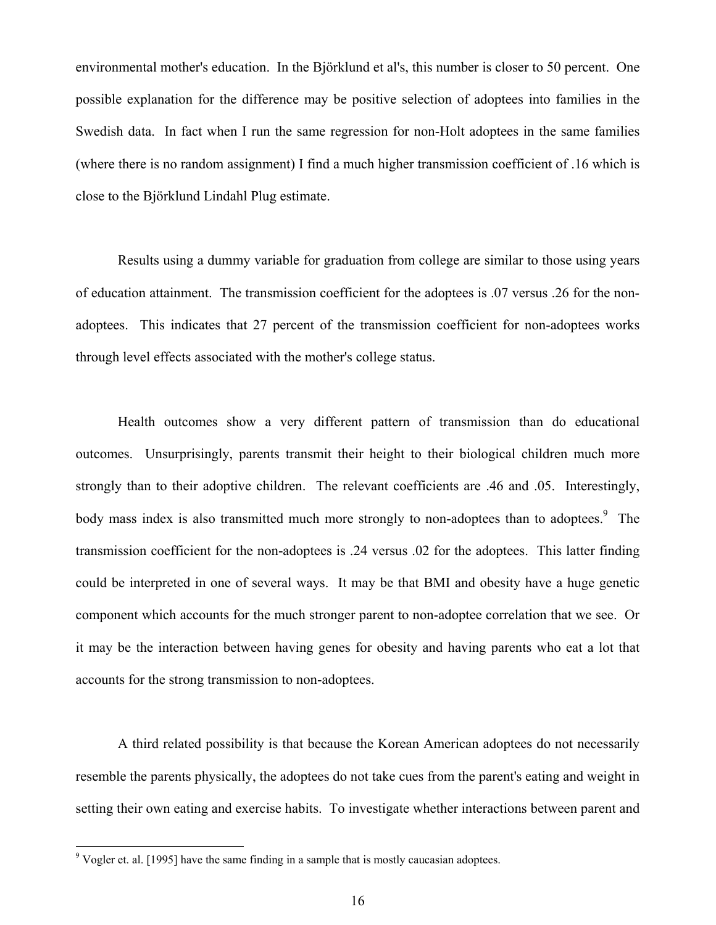environmental mother's education. In the Björklund et al's, this number is closer to 50 percent. One possible explanation for the difference may be positive selection of adoptees into families in the Swedish data. In fact when I run the same regression for non-Holt adoptees in the same families (where there is no random assignment) I find a much higher transmission coefficient of .16 which is close to the Björklund Lindahl Plug estimate.

 Results using a dummy variable for graduation from college are similar to those using years of education attainment. The transmission coefficient for the adoptees is .07 versus .26 for the nonadoptees. This indicates that 27 percent of the transmission coefficient for non-adoptees works through level effects associated with the mother's college status.

 Health outcomes show a very different pattern of transmission than do educational outcomes. Unsurprisingly, parents transmit their height to their biological children much more strongly than to their adoptive children. The relevant coefficients are .46 and .05. Interestingly, body mass index is also transmitted much more strongly to non-adoptees than to adoptees.<sup>9</sup> The transmission coefficient for the non-adoptees is .24 versus .02 for the adoptees. This latter finding could be interpreted in one of several ways. It may be that BMI and obesity have a huge genetic component which accounts for the much stronger parent to non-adoptee correlation that we see. Or it may be the interaction between having genes for obesity and having parents who eat a lot that accounts for the strong transmission to non-adoptees.

 A third related possibility is that because the Korean American adoptees do not necessarily resemble the parents physically, the adoptees do not take cues from the parent's eating and weight in setting their own eating and exercise habits. To investigate whether interactions between parent and

 $\overline{a}$ 

 $9$  Vogler et. al. [1995] have the same finding in a sample that is mostly caucasian adoptees.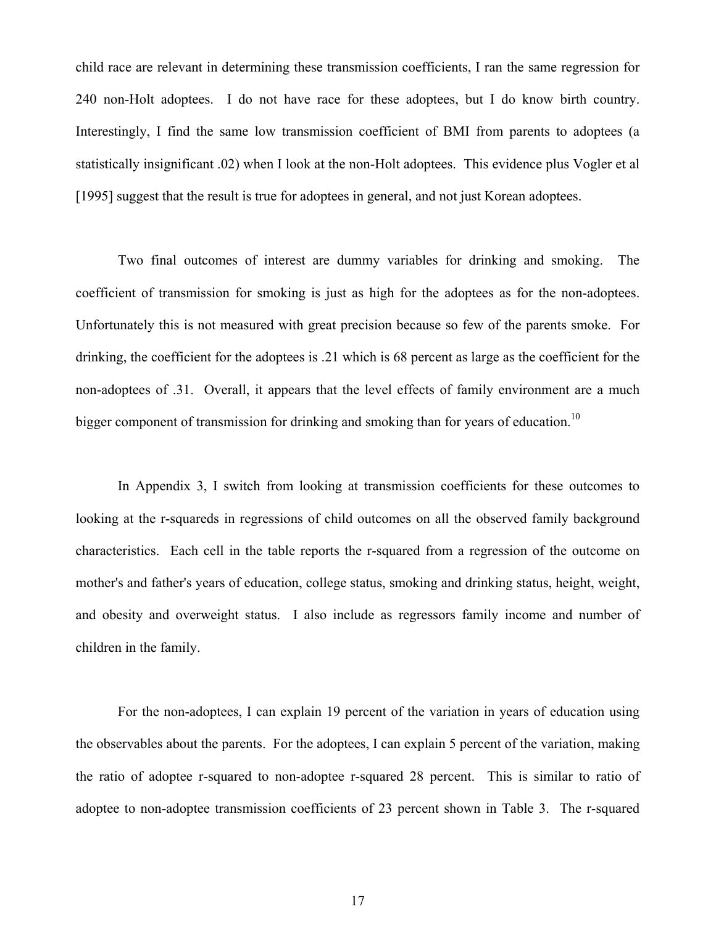child race are relevant in determining these transmission coefficients, I ran the same regression for 240 non-Holt adoptees. I do not have race for these adoptees, but I do know birth country. Interestingly, I find the same low transmission coefficient of BMI from parents to adoptees (a statistically insignificant .02) when I look at the non-Holt adoptees. This evidence plus Vogler et al [1995] suggest that the result is true for adoptees in general, and not just Korean adoptees.

Two final outcomes of interest are dummy variables for drinking and smoking. The coefficient of transmission for smoking is just as high for the adoptees as for the non-adoptees. Unfortunately this is not measured with great precision because so few of the parents smoke. For drinking, the coefficient for the adoptees is .21 which is 68 percent as large as the coefficient for the non-adoptees of .31. Overall, it appears that the level effects of family environment are a much bigger component of transmission for drinking and smoking than for years of education.<sup>10</sup>

In Appendix 3, I switch from looking at transmission coefficients for these outcomes to looking at the r-squareds in regressions of child outcomes on all the observed family background characteristics. Each cell in the table reports the r-squared from a regression of the outcome on mother's and father's years of education, college status, smoking and drinking status, height, weight, and obesity and overweight status. I also include as regressors family income and number of children in the family.

For the non-adoptees, I can explain 19 percent of the variation in years of education using the observables about the parents. For the adoptees, I can explain 5 percent of the variation, making the ratio of adoptee r-squared to non-adoptee r-squared 28 percent. This is similar to ratio of adoptee to non-adoptee transmission coefficients of 23 percent shown in Table 3. The r-squared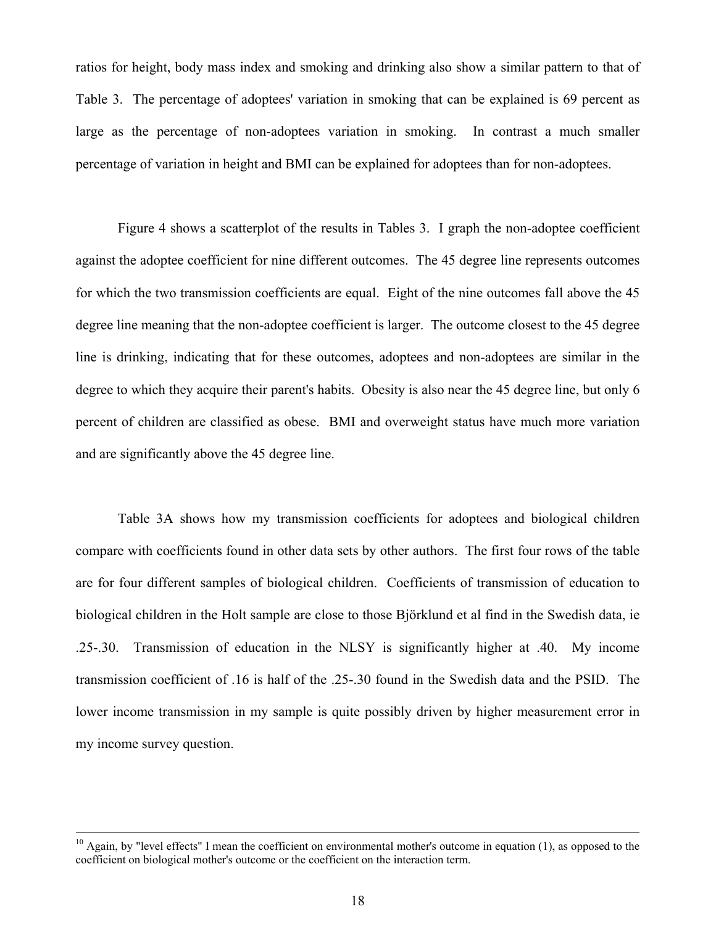ratios for height, body mass index and smoking and drinking also show a similar pattern to that of Table 3. The percentage of adoptees' variation in smoking that can be explained is 69 percent as large as the percentage of non-adoptees variation in smoking. In contrast a much smaller percentage of variation in height and BMI can be explained for adoptees than for non-adoptees.

Figure 4 shows a scatterplot of the results in Tables 3. I graph the non-adoptee coefficient against the adoptee coefficient for nine different outcomes. The 45 degree line represents outcomes for which the two transmission coefficients are equal. Eight of the nine outcomes fall above the 45 degree line meaning that the non-adoptee coefficient is larger. The outcome closest to the 45 degree line is drinking, indicating that for these outcomes, adoptees and non-adoptees are similar in the degree to which they acquire their parent's habits. Obesity is also near the 45 degree line, but only 6 percent of children are classified as obese. BMI and overweight status have much more variation and are significantly above the 45 degree line.

Table 3A shows how my transmission coefficients for adoptees and biological children compare with coefficients found in other data sets by other authors. The first four rows of the table are for four different samples of biological children. Coefficients of transmission of education to biological children in the Holt sample are close to those Björklund et al find in the Swedish data, ie .25-.30. Transmission of education in the NLSY is significantly higher at .40. My income transmission coefficient of .16 is half of the .25-.30 found in the Swedish data and the PSID. The lower income transmission in my sample is quite possibly driven by higher measurement error in my income survey question.

 $10$  Again, by "level effects" I mean the coefficient on environmental mother's outcome in equation (1), as opposed to the coefficient on biological mother's outcome or the coefficient on the interaction term.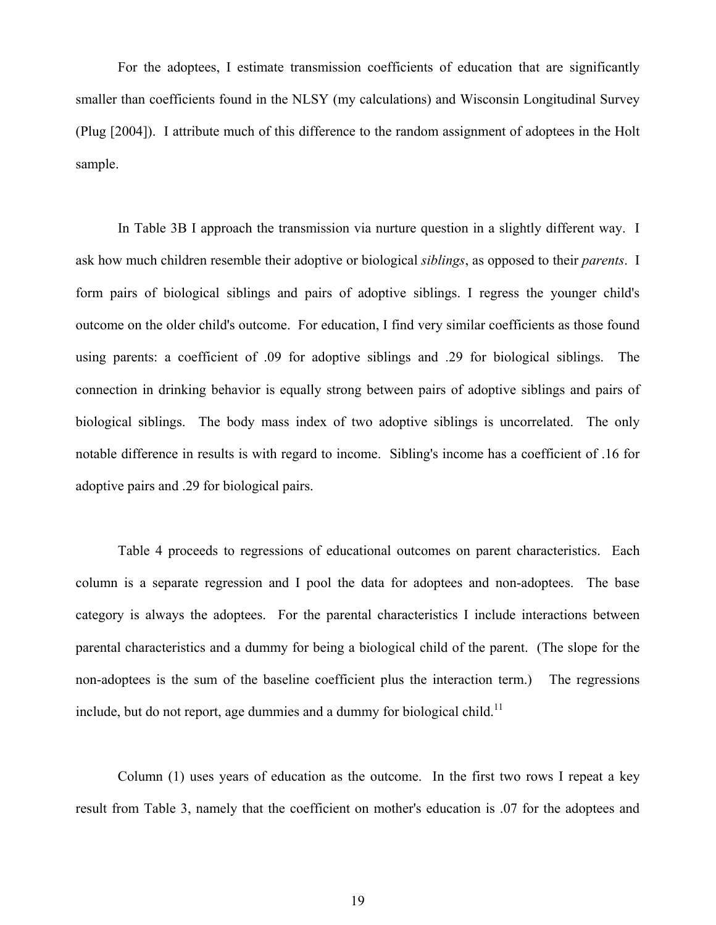For the adoptees, I estimate transmission coefficients of education that are significantly smaller than coefficients found in the NLSY (my calculations) and Wisconsin Longitudinal Survey (Plug [2004]). I attribute much of this difference to the random assignment of adoptees in the Holt sample.

In Table 3B I approach the transmission via nurture question in a slightly different way. I ask how much children resemble their adoptive or biological *siblings*, as opposed to their *parents*. I form pairs of biological siblings and pairs of adoptive siblings. I regress the younger child's outcome on the older child's outcome. For education, I find very similar coefficients as those found using parents: a coefficient of .09 for adoptive siblings and .29 for biological siblings. The connection in drinking behavior is equally strong between pairs of adoptive siblings and pairs of biological siblings. The body mass index of two adoptive siblings is uncorrelated. The only notable difference in results is with regard to income. Sibling's income has a coefficient of .16 for adoptive pairs and .29 for biological pairs.

Table 4 proceeds to regressions of educational outcomes on parent characteristics. Each column is a separate regression and I pool the data for adoptees and non-adoptees. The base category is always the adoptees. For the parental characteristics I include interactions between parental characteristics and a dummy for being a biological child of the parent. (The slope for the non-adoptees is the sum of the baseline coefficient plus the interaction term.) The regressions include, but do not report, age dummies and a dummy for biological child.<sup>11</sup>

Column (1) uses years of education as the outcome. In the first two rows I repeat a key result from Table 3, namely that the coefficient on mother's education is .07 for the adoptees and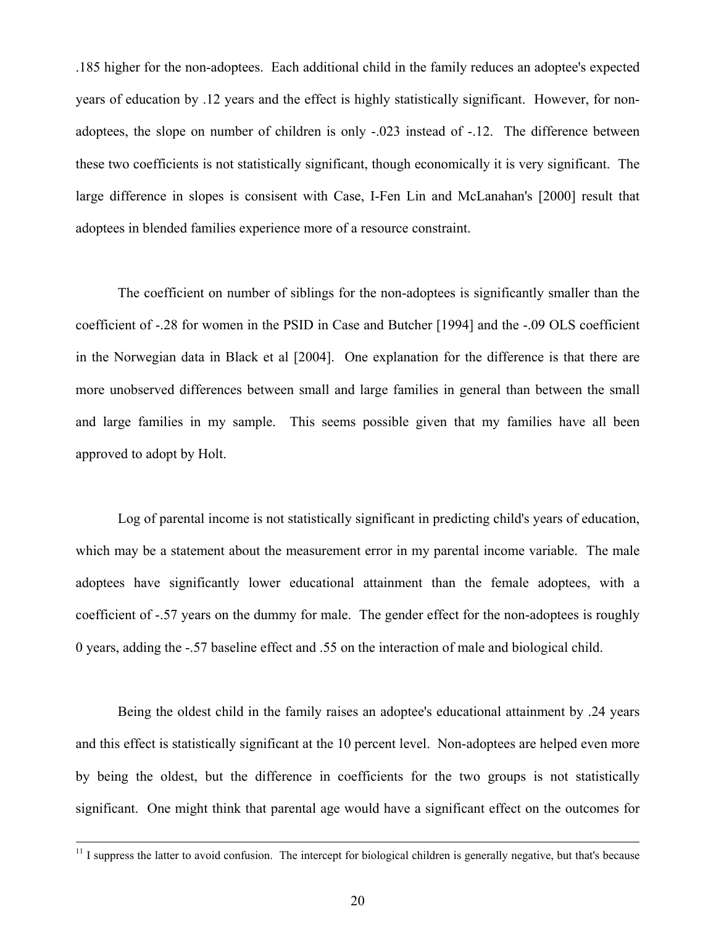.185 higher for the non-adoptees. Each additional child in the family reduces an adoptee's expected years of education by .12 years and the effect is highly statistically significant. However, for nonadoptees, the slope on number of children is only -.023 instead of -.12. The difference between these two coefficients is not statistically significant, though economically it is very significant. The large difference in slopes is consisent with Case, I-Fen Lin and McLanahan's [2000] result that adoptees in blended families experience more of a resource constraint.

The coefficient on number of siblings for the non-adoptees is significantly smaller than the coefficient of -.28 for women in the PSID in Case and Butcher [1994] and the -.09 OLS coefficient in the Norwegian data in Black et al [2004]. One explanation for the difference is that there are more unobserved differences between small and large families in general than between the small and large families in my sample. This seems possible given that my families have all been approved to adopt by Holt.

Log of parental income is not statistically significant in predicting child's years of education, which may be a statement about the measurement error in my parental income variable. The male adoptees have significantly lower educational attainment than the female adoptees, with a coefficient of -.57 years on the dummy for male. The gender effect for the non-adoptees is roughly 0 years, adding the -.57 baseline effect and .55 on the interaction of male and biological child.

Being the oldest child in the family raises an adoptee's educational attainment by .24 years and this effect is statistically significant at the 10 percent level. Non-adoptees are helped even more by being the oldest, but the difference in coefficients for the two groups is not statistically significant. One might think that parental age would have a significant effect on the outcomes for

 $11$  I suppress the latter to avoid confusion. The intercept for biological children is generally negative, but that's because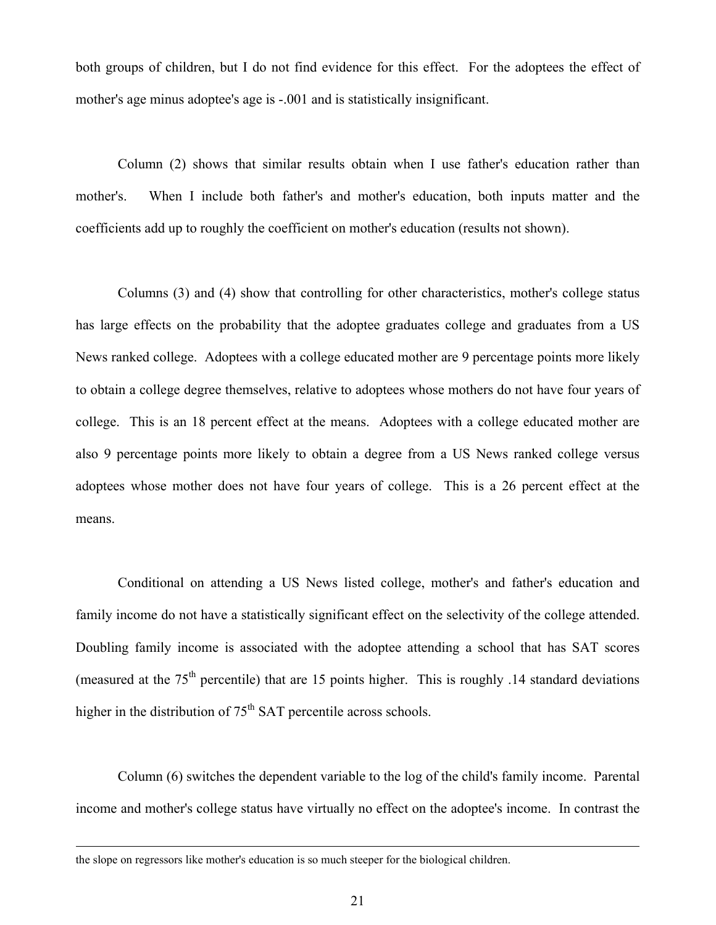both groups of children, but I do not find evidence for this effect. For the adoptees the effect of mother's age minus adoptee's age is -.001 and is statistically insignificant.

Column (2) shows that similar results obtain when I use father's education rather than mother's. When I include both father's and mother's education, both inputs matter and the coefficients add up to roughly the coefficient on mother's education (results not shown).

Columns (3) and (4) show that controlling for other characteristics, mother's college status has large effects on the probability that the adoptee graduates college and graduates from a US News ranked college. Adoptees with a college educated mother are 9 percentage points more likely to obtain a college degree themselves, relative to adoptees whose mothers do not have four years of college. This is an 18 percent effect at the means. Adoptees with a college educated mother are also 9 percentage points more likely to obtain a degree from a US News ranked college versus adoptees whose mother does not have four years of college. This is a 26 percent effect at the means.

Conditional on attending a US News listed college, mother's and father's education and family income do not have a statistically significant effect on the selectivity of the college attended. Doubling family income is associated with the adoptee attending a school that has SAT scores (measured at the  $75<sup>th</sup>$  percentile) that are 15 points higher. This is roughly .14 standard deviations higher in the distribution of  $75<sup>th</sup> SAT$  percentile across schools.

Column (6) switches the dependent variable to the log of the child's family income. Parental income and mother's college status have virtually no effect on the adoptee's income. In contrast the

the slope on regressors like mother's education is so much steeper for the biological children.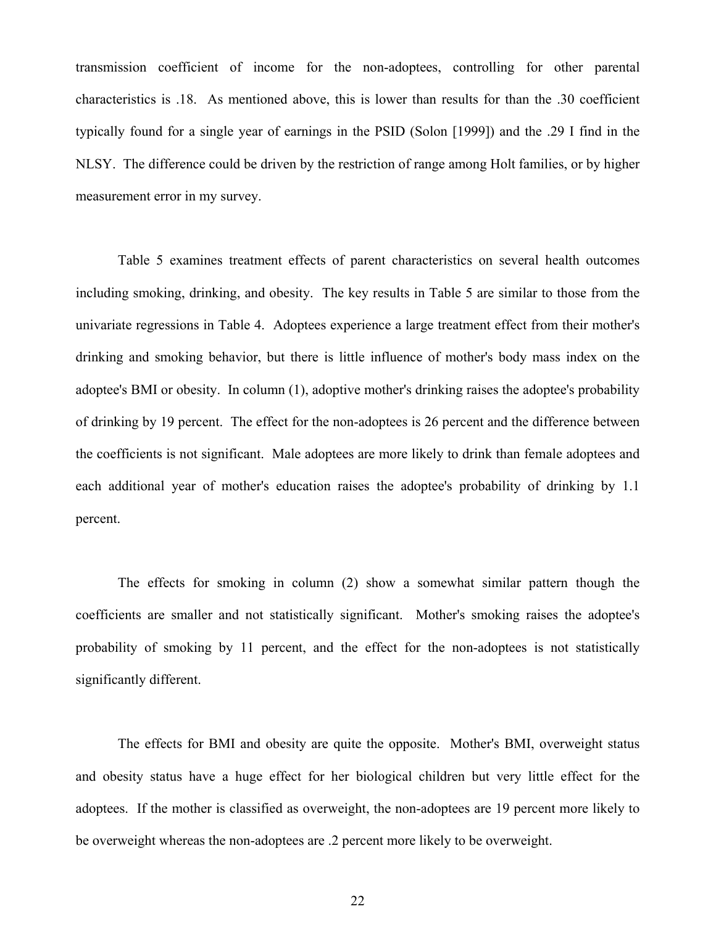transmission coefficient of income for the non-adoptees, controlling for other parental characteristics is .18. As mentioned above, this is lower than results for than the .30 coefficient typically found for a single year of earnings in the PSID (Solon [1999]) and the .29 I find in the NLSY. The difference could be driven by the restriction of range among Holt families, or by higher measurement error in my survey.

Table 5 examines treatment effects of parent characteristics on several health outcomes including smoking, drinking, and obesity. The key results in Table 5 are similar to those from the univariate regressions in Table 4. Adoptees experience a large treatment effect from their mother's drinking and smoking behavior, but there is little influence of mother's body mass index on the adoptee's BMI or obesity. In column (1), adoptive mother's drinking raises the adoptee's probability of drinking by 19 percent. The effect for the non-adoptees is 26 percent and the difference between the coefficients is not significant. Male adoptees are more likely to drink than female adoptees and each additional year of mother's education raises the adoptee's probability of drinking by 1.1 percent.

The effects for smoking in column (2) show a somewhat similar pattern though the coefficients are smaller and not statistically significant. Mother's smoking raises the adoptee's probability of smoking by 11 percent, and the effect for the non-adoptees is not statistically significantly different.

The effects for BMI and obesity are quite the opposite. Mother's BMI, overweight status and obesity status have a huge effect for her biological children but very little effect for the adoptees. If the mother is classified as overweight, the non-adoptees are 19 percent more likely to be overweight whereas the non-adoptees are .2 percent more likely to be overweight.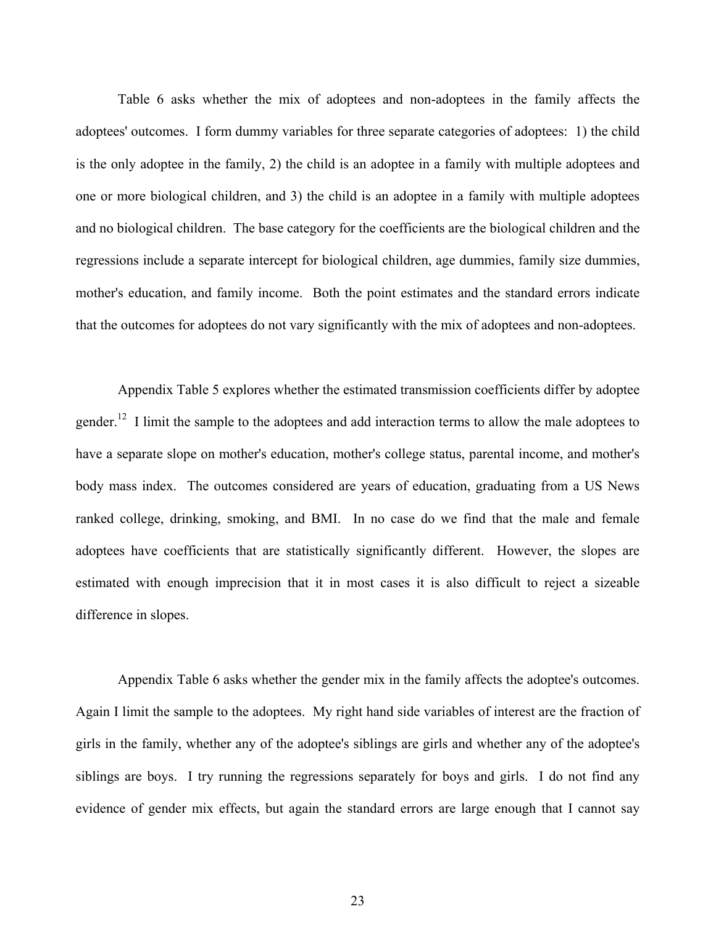Table 6 asks whether the mix of adoptees and non-adoptees in the family affects the adoptees' outcomes. I form dummy variables for three separate categories of adoptees: 1) the child is the only adoptee in the family, 2) the child is an adoptee in a family with multiple adoptees and one or more biological children, and 3) the child is an adoptee in a family with multiple adoptees and no biological children. The base category for the coefficients are the biological children and the regressions include a separate intercept for biological children, age dummies, family size dummies, mother's education, and family income. Both the point estimates and the standard errors indicate that the outcomes for adoptees do not vary significantly with the mix of adoptees and non-adoptees.

Appendix Table 5 explores whether the estimated transmission coefficients differ by adoptee gender.<sup>12</sup> I limit the sample to the adoptees and add interaction terms to allow the male adoptees to have a separate slope on mother's education, mother's college status, parental income, and mother's body mass index. The outcomes considered are years of education, graduating from a US News ranked college, drinking, smoking, and BMI. In no case do we find that the male and female adoptees have coefficients that are statistically significantly different. However, the slopes are estimated with enough imprecision that it in most cases it is also difficult to reject a sizeable difference in slopes.

Appendix Table 6 asks whether the gender mix in the family affects the adoptee's outcomes. Again I limit the sample to the adoptees. My right hand side variables of interest are the fraction of girls in the family, whether any of the adoptee's siblings are girls and whether any of the adoptee's siblings are boys. I try running the regressions separately for boys and girls. I do not find any evidence of gender mix effects, but again the standard errors are large enough that I cannot say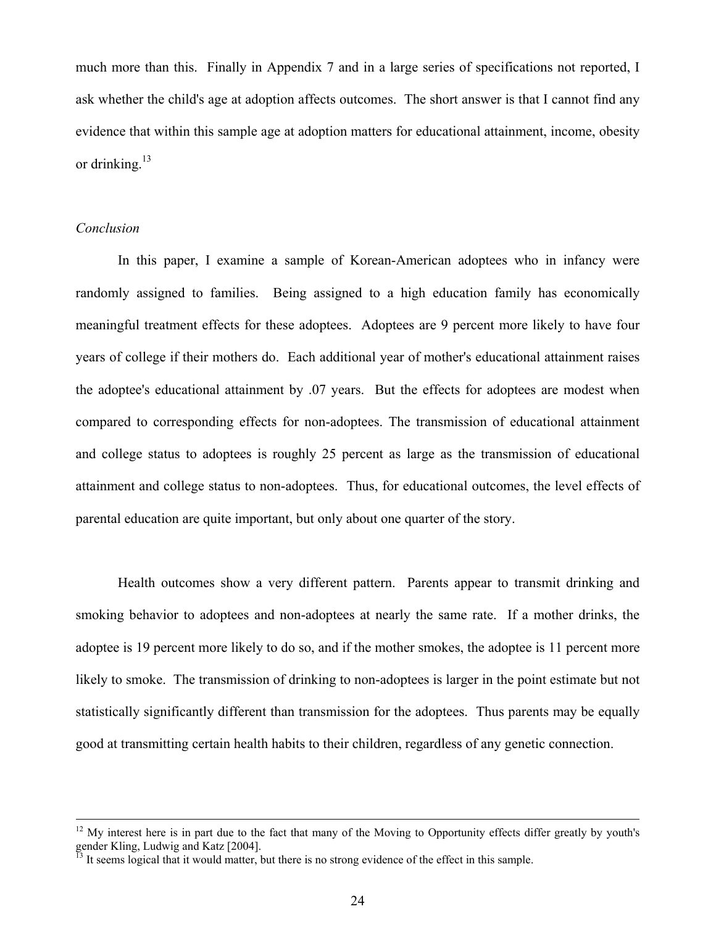much more than this. Finally in Appendix 7 and in a large series of specifications not reported, I ask whether the child's age at adoption affects outcomes. The short answer is that I cannot find any evidence that within this sample age at adoption matters for educational attainment, income, obesity or drinking. $13$ 

#### *Conclusion*

In this paper, I examine a sample of Korean-American adoptees who in infancy were randomly assigned to families. Being assigned to a high education family has economically meaningful treatment effects for these adoptees. Adoptees are 9 percent more likely to have four years of college if their mothers do. Each additional year of mother's educational attainment raises the adoptee's educational attainment by .07 years. But the effects for adoptees are modest when compared to corresponding effects for non-adoptees. The transmission of educational attainment and college status to adoptees is roughly 25 percent as large as the transmission of educational attainment and college status to non-adoptees. Thus, for educational outcomes, the level effects of parental education are quite important, but only about one quarter of the story.

Health outcomes show a very different pattern. Parents appear to transmit drinking and smoking behavior to adoptees and non-adoptees at nearly the same rate. If a mother drinks, the adoptee is 19 percent more likely to do so, and if the mother smokes, the adoptee is 11 percent more likely to smoke. The transmission of drinking to non-adoptees is larger in the point estimate but not statistically significantly different than transmission for the adoptees. Thus parents may be equally good at transmitting certain health habits to their children, regardless of any genetic connection.

 $12$  My interest here is in part due to the fact that many of the Moving to Opportunity effects differ greatly by youth's gender Kling, Ludwig and Katz [2004].

 $<sup>13</sup>$  It seems logical that it would matter, but there is no strong evidence of the effect in this sample.</sup>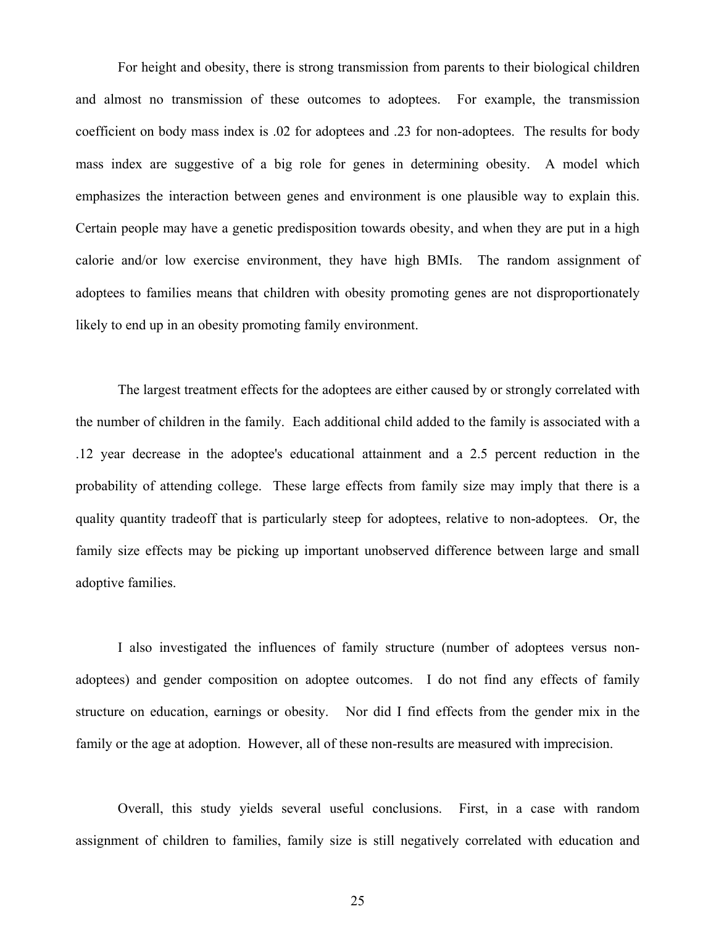For height and obesity, there is strong transmission from parents to their biological children and almost no transmission of these outcomes to adoptees. For example, the transmission coefficient on body mass index is .02 for adoptees and .23 for non-adoptees. The results for body mass index are suggestive of a big role for genes in determining obesity. A model which emphasizes the interaction between genes and environment is one plausible way to explain this. Certain people may have a genetic predisposition towards obesity, and when they are put in a high calorie and/or low exercise environment, they have high BMIs. The random assignment of adoptees to families means that children with obesity promoting genes are not disproportionately likely to end up in an obesity promoting family environment.

The largest treatment effects for the adoptees are either caused by or strongly correlated with the number of children in the family. Each additional child added to the family is associated with a .12 year decrease in the adoptee's educational attainment and a 2.5 percent reduction in the probability of attending college. These large effects from family size may imply that there is a quality quantity tradeoff that is particularly steep for adoptees, relative to non-adoptees. Or, the family size effects may be picking up important unobserved difference between large and small adoptive families.

I also investigated the influences of family structure (number of adoptees versus nonadoptees) and gender composition on adoptee outcomes. I do not find any effects of family structure on education, earnings or obesity. Nor did I find effects from the gender mix in the family or the age at adoption. However, all of these non-results are measured with imprecision.

Overall, this study yields several useful conclusions. First, in a case with random assignment of children to families, family size is still negatively correlated with education and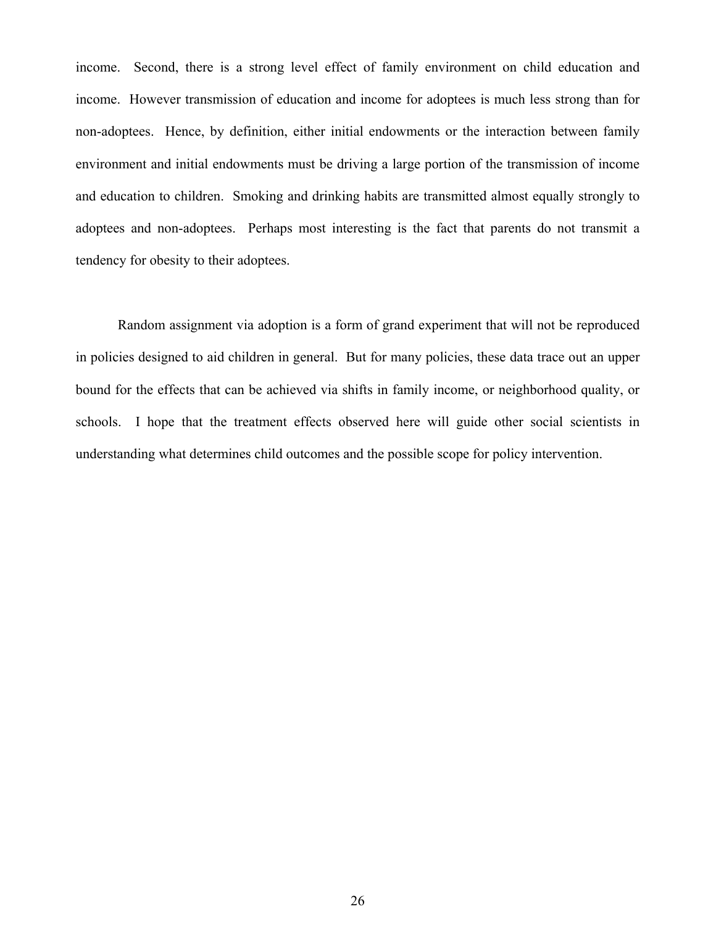income. Second, there is a strong level effect of family environment on child education and income. However transmission of education and income for adoptees is much less strong than for non-adoptees. Hence, by definition, either initial endowments or the interaction between family environment and initial endowments must be driving a large portion of the transmission of income and education to children. Smoking and drinking habits are transmitted almost equally strongly to adoptees and non-adoptees. Perhaps most interesting is the fact that parents do not transmit a tendency for obesity to their adoptees.

Random assignment via adoption is a form of grand experiment that will not be reproduced in policies designed to aid children in general. But for many policies, these data trace out an upper bound for the effects that can be achieved via shifts in family income, or neighborhood quality, or schools. I hope that the treatment effects observed here will guide other social scientists in understanding what determines child outcomes and the possible scope for policy intervention.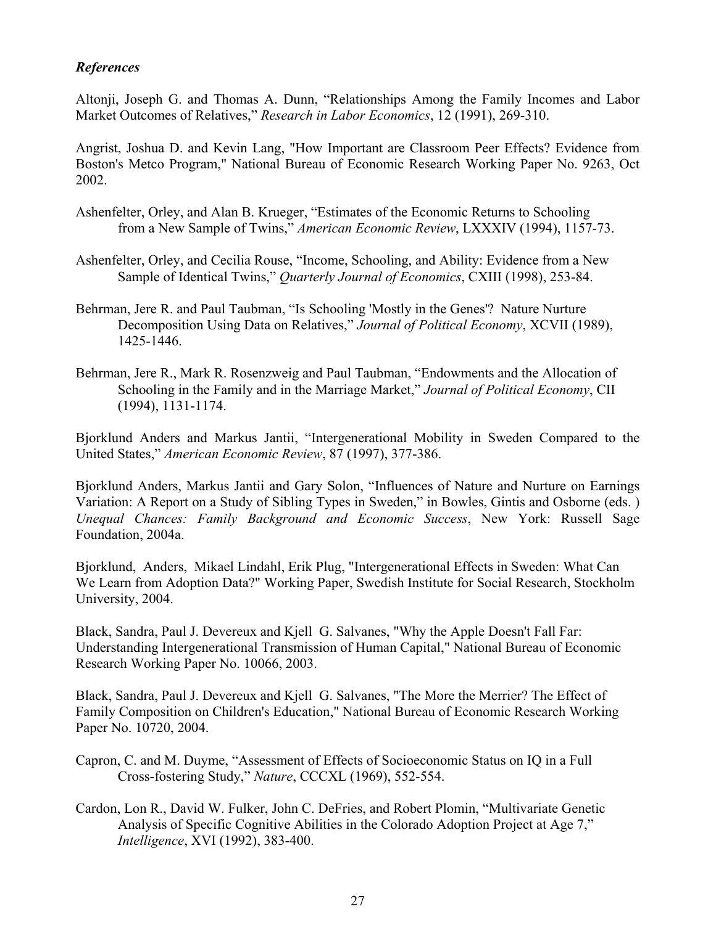### *References*

Altonji, Joseph G. and Thomas A. Dunn, "Relationships Among the Family Incomes and Labor Market Outcomes of Relatives," *Research in Labor Economics*, 12 (1991), 269-310.

Angrist, Joshua D. and Kevin Lang, "How Important are Classroom Peer Effects? Evidence from Boston's Metco Program," National Bureau of Economic Research Working Paper No. 9263, Oct 2002.

- Ashenfelter, Orley, and Alan B. Krueger, "Estimates of the Economic Returns to Schooling from a New Sample of Twins," *American Economic Review*, LXXXIV (1994), 1157-73.
- Ashenfelter, Orley, and Cecilia Rouse, "Income, Schooling, and Ability: Evidence from a New Sample of Identical Twins," *Quarterly Journal of Economics*, CXIII (1998), 253-84.
- Behrman, Jere R. and Paul Taubman, "Is Schooling 'Mostly in the Genes'? Nature Nurture Decomposition Using Data on Relatives," *Journal of Political Economy*, XCVII (1989), 1425-1446.
- Behrman, Jere R., Mark R. Rosenzweig and Paul Taubman, "Endowments and the Allocation of Schooling in the Family and in the Marriage Market," *Journal of Political Economy*, CII (1994), 1131-1174.

Bjorklund Anders and Markus Jantii, "Intergenerational Mobility in Sweden Compared to the United States," *American Economic Review*, 87 (1997), 377-386.

Bjorklund Anders, Markus Jantii and Gary Solon, "Influences of Nature and Nurture on Earnings Variation: A Report on a Study of Sibling Types in Sweden," in Bowles, Gintis and Osborne (eds. ) *Unequal Chances: Family Background and Economic Success*, New York: Russell Sage Foundation, 2004a.

Bjorklund, Anders, Mikael Lindahl, Erik Plug, "Intergenerational Effects in Sweden: What Can We Learn from Adoption Data?" Working Paper, Swedish Institute for Social Research, Stockholm University, 2004.

Black, Sandra, Paul J. Devereux and Kjell G. Salvanes, "Why the Apple Doesn't Fall Far: Understanding Intergenerational Transmission of Human Capital," National Bureau of Economic Research Working Paper No. 10066, 2003.

Black, Sandra, Paul J. Devereux and Kjell G. Salvanes, "The More the Merrier? The Effect of Family Composition on Children's Education," National Bureau of Economic Research Working Paper No. 10720, 2004.

- Capron, C. and M. Duyme, "Assessment of Effects of Socioeconomic Status on IQ in a Full Cross-fostering Study," *Nature*, CCCXL (1969), 552-554.
- Cardon, Lon R., David W. Fulker, John C. DeFries, and Robert Plomin, "Multivariate Genetic Analysis of Specific Cognitive Abilities in the Colorado Adoption Project at Age 7," *Intelligence*, XVI (1992), 383-400.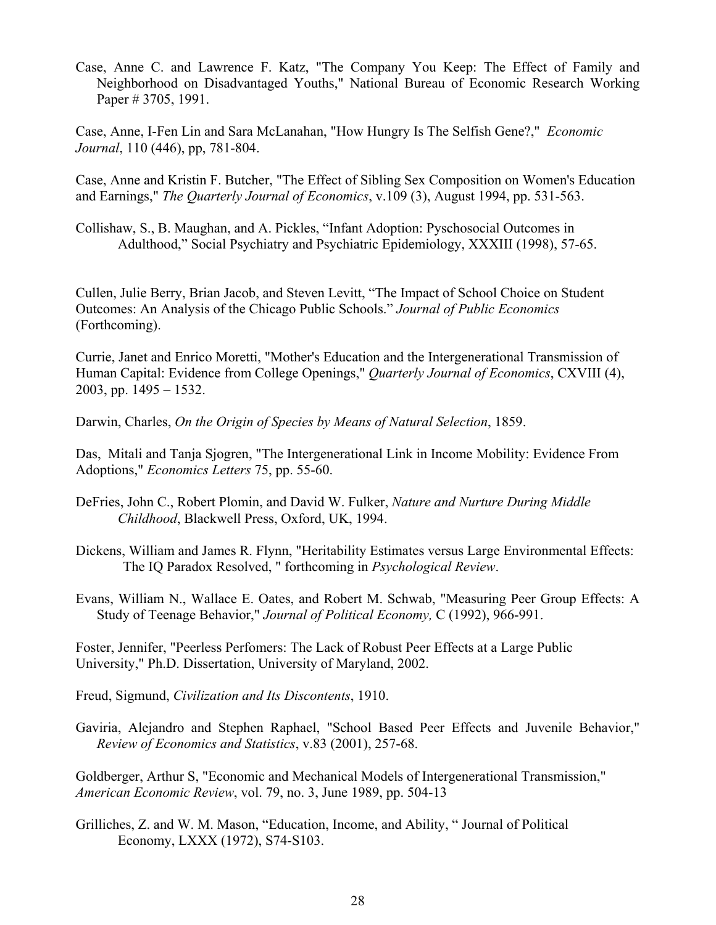Case, Anne C. and Lawrence F. Katz, "The Company You Keep: The Effect of Family and Neighborhood on Disadvantaged Youths," National Bureau of Economic Research Working Paper # 3705, 1991.

Case, Anne, I-Fen Lin and Sara McLanahan, "How Hungry Is The Selfish Gene?," *Economic Journal*, 110 (446), pp, 781-804.

Case, Anne and Kristin F. Butcher, "The Effect of Sibling Sex Composition on Women's Education and Earnings," *The Quarterly Journal of Economics*, v.109 (3), August 1994, pp. 531-563.

Collishaw, S., B. Maughan, and A. Pickles, "Infant Adoption: Pyschosocial Outcomes in Adulthood," Social Psychiatry and Psychiatric Epidemiology, XXXIII (1998), 57-65.

Cullen, Julie Berry, Brian Jacob, and Steven Levitt, "The Impact of School Choice on Student Outcomes: An Analysis of the Chicago Public Schools." *Journal of Public Economics* (Forthcoming).

Currie, Janet and Enrico Moretti, "Mother's Education and the Intergenerational Transmission of Human Capital: Evidence from College Openings," *Quarterly Journal of Economics*, CXVIII (4), 2003, pp. 1495 – 1532.

Darwin, Charles, *On the Origin of Species by Means of Natural Selection*, 1859.

Das, Mitali and Tanja Sjogren, "The Intergenerational Link in Income Mobility: Evidence From Adoptions," *Economics Letters* 75, pp. 55-60.

- DeFries, John C., Robert Plomin, and David W. Fulker, *Nature and Nurture During Middle Childhood*, Blackwell Press, Oxford, UK, 1994.
- Dickens, William and James R. Flynn, "Heritability Estimates versus Large Environmental Effects: The IQ Paradox Resolved, " forthcoming in *Psychological Review*.
- Evans, William N., Wallace E. Oates, and Robert M. Schwab, "Measuring Peer Group Effects: A Study of Teenage Behavior," *Journal of Political Economy,* C (1992), 966-991.

Foster, Jennifer, "Peerless Perfomers: The Lack of Robust Peer Effects at a Large Public University," Ph.D. Dissertation, University of Maryland, 2002.

- Freud, Sigmund, *Civilization and Its Discontents*, 1910.
- Gaviria, Alejandro and Stephen Raphael, "School Based Peer Effects and Juvenile Behavior," *Review of Economics and Statistics*, v.83 (2001), 257-68.

Goldberger, Arthur S, "Economic and Mechanical Models of Intergenerational Transmission," *American Economic Review*, vol. 79, no. 3, June 1989, pp. 504-13

Grilliches, Z. and W. M. Mason, "Education, Income, and Ability, " Journal of Political Economy, LXXX (1972), S74-S103.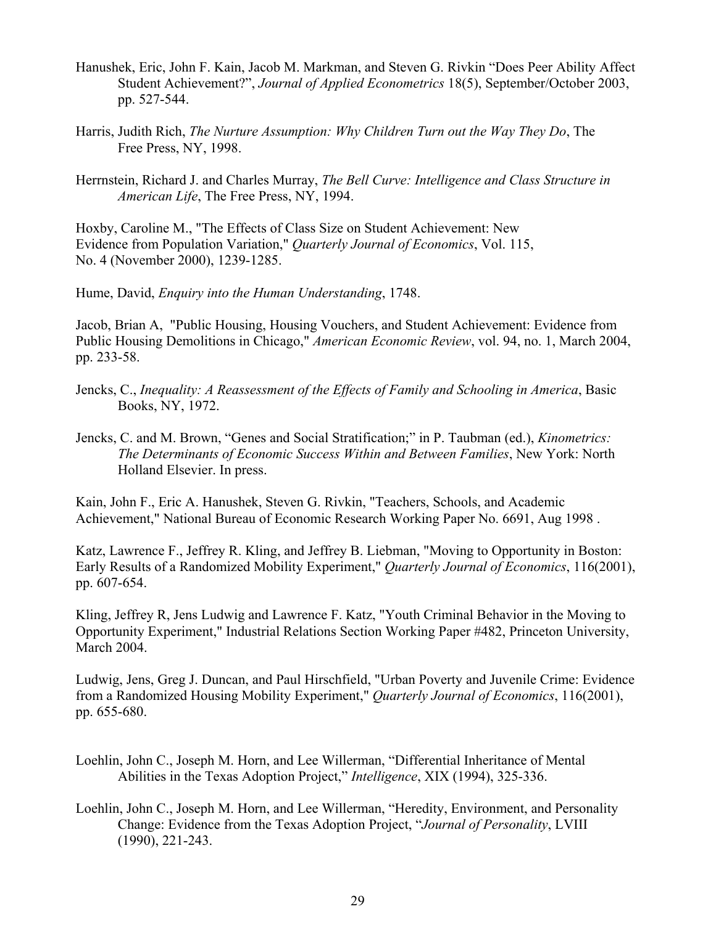- Hanushek, Eric, John F. Kain, Jacob M. Markman, and Steven G. Rivkin "Does Peer Ability Affect Student Achievement?", *Journal of Applied Econometrics* 18(5), September/October 2003, pp. 527-544.
- Harris, Judith Rich, *The Nurture Assumption: Why Children Turn out the Way They Do*, The Free Press, NY, 1998.
- Herrnstein, Richard J. and Charles Murray, *The Bell Curve: Intelligence and Class Structure in American Life*, The Free Press, NY, 1994.

Hoxby, Caroline M., "The Effects of Class Size on Student Achievement: New Evidence from Population Variation," *Quarterly Journal of Economics*, Vol. 115, No. 4 (November 2000), 1239-1285.

Hume, David, *Enquiry into the Human Understanding*, 1748.

Jacob, Brian A, "Public Housing, Housing Vouchers, and Student Achievement: Evidence from Public Housing Demolitions in Chicago," *American Economic Review*, vol. 94, no. 1, March 2004, pp. 233-58.

- Jencks, C., *Inequality: A Reassessment of the Effects of Family and Schooling in America*, Basic Books, NY, 1972.
- Jencks, C. and M. Brown, "Genes and Social Stratification;" in P. Taubman (ed.), *Kinometrics: The Determinants of Economic Success Within and Between Families*, New York: North Holland Elsevier. In press.

Kain, John F., Eric A. Hanushek, Steven G. Rivkin, "Teachers, Schools, and Academic Achievement," National Bureau of Economic Research Working Paper No. 6691, Aug 1998 .

Katz, Lawrence F., Jeffrey R. Kling, and Jeffrey B. Liebman, "Moving to Opportunity in Boston: Early Results of a Randomized Mobility Experiment," *Quarterly Journal of Economics*, 116(2001), pp. 607-654.

Kling, Jeffrey R, Jens Ludwig and Lawrence F. Katz, "Youth Criminal Behavior in the Moving to Opportunity Experiment," Industrial Relations Section Working Paper #482, Princeton University, March 2004.

Ludwig, Jens, Greg J. Duncan, and Paul Hirschfield, "Urban Poverty and Juvenile Crime: Evidence from a Randomized Housing Mobility Experiment," *Quarterly Journal of Economics*, 116(2001), pp. 655-680.

- Loehlin, John C., Joseph M. Horn, and Lee Willerman, "Differential Inheritance of Mental Abilities in the Texas Adoption Project," *Intelligence*, XIX (1994), 325-336.
- Loehlin, John C., Joseph M. Horn, and Lee Willerman, "Heredity, Environment, and Personality Change: Evidence from the Texas Adoption Project, "*Journal of Personality*, LVIII (1990), 221-243.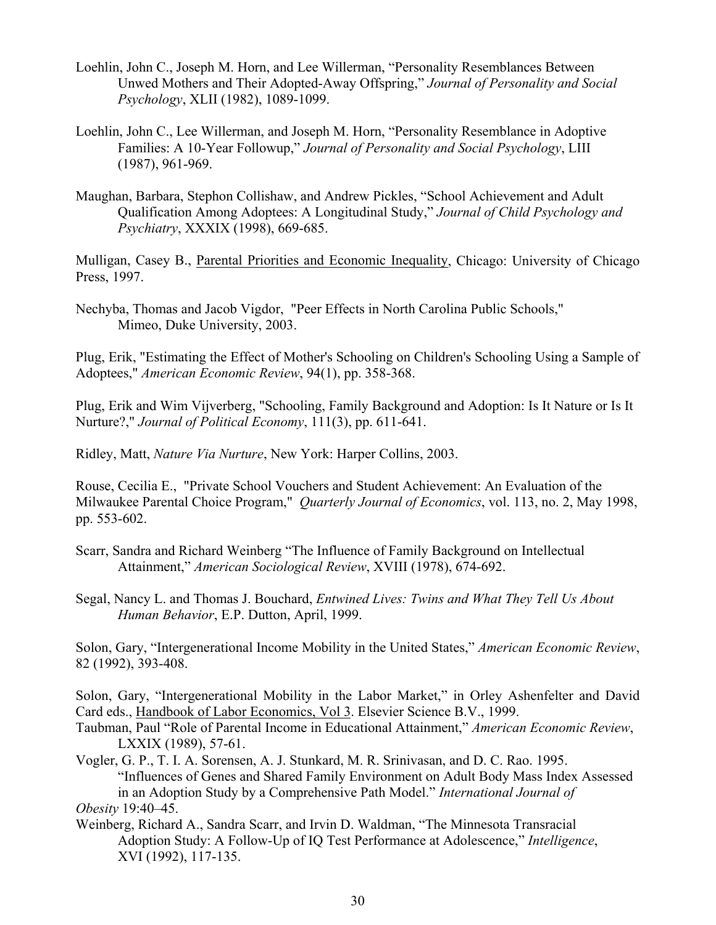- Loehlin, John C., Joseph M. Horn, and Lee Willerman, "Personality Resemblances Between Unwed Mothers and Their Adopted-Away Offspring," *Journal of Personality and Social Psychology*, XLII (1982), 1089-1099.
- Loehlin, John C., Lee Willerman, and Joseph M. Horn, "Personality Resemblance in Adoptive Families: A 10-Year Followup," *Journal of Personality and Social Psychology*, LIII (1987), 961-969.
- Maughan, Barbara, Stephon Collishaw, and Andrew Pickles, "School Achievement and Adult Qualification Among Adoptees: A Longitudinal Study," *Journal of Child Psychology and Psychiatry*, XXXIX (1998), 669-685.

Mulligan, Casey B., Parental Priorities and Economic Inequality, Chicago: University of Chicago Press, 1997.

Nechyba, Thomas and Jacob Vigdor, "Peer Effects in North Carolina Public Schools," Mimeo, Duke University, 2003.

Plug, Erik, "Estimating the Effect of Mother's Schooling on Children's Schooling Using a Sample of Adoptees," *American Economic Review*, 94(1), pp. 358-368.

Plug, Erik and Wim Vijverberg, "Schooling, Family Background and Adoption: Is It Nature or Is It Nurture?," *Journal of Political Economy*, 111(3), pp. 611-641.

Ridley, Matt, *Nature Via Nurture*, New York: Harper Collins, 2003.

Rouse, Cecilia E., "Private School Vouchers and Student Achievement: An Evaluation of the Milwaukee Parental Choice Program," *Quarterly Journal of Economics*, vol. 113, no. 2, May 1998, pp. 553-602.

Scarr, Sandra and Richard Weinberg "The Influence of Family Background on Intellectual Attainment," *American Sociological Review*, XVIII (1978), 674-692.

Segal, Nancy L. and Thomas J. Bouchard, *Entwined Lives: Twins and What They Tell Us About Human Behavior*, E.P. Dutton, April, 1999.

Solon, Gary, "Intergenerational Income Mobility in the United States," *American Economic Review*, 82 (1992), 393-408.

Solon, Gary, "Intergenerational Mobility in the Labor Market," in Orley Ashenfelter and David Card eds., Handbook of Labor Economics, Vol 3. Elsevier Science B.V., 1999.

- Taubman, Paul "Role of Parental Income in Educational Attainment," *American Economic Review*, LXXIX (1989), 57-61.
- Vogler, G. P., T. I. A. Sorensen, A. J. Stunkard, M. R. Srinivasan, and D. C. Rao. 1995. "Influences of Genes and Shared Family Environment on Adult Body Mass Index Assessed in an Adoption Study by a Comprehensive Path Model." *International Journal of Obesity* 19:40–45.
- Weinberg, Richard A., Sandra Scarr, and Irvin D. Waldman, "The Minnesota Transracial Adoption Study: A Follow-Up of IQ Test Performance at Adolescence," *Intelligence*, XVI (1992), 117-135.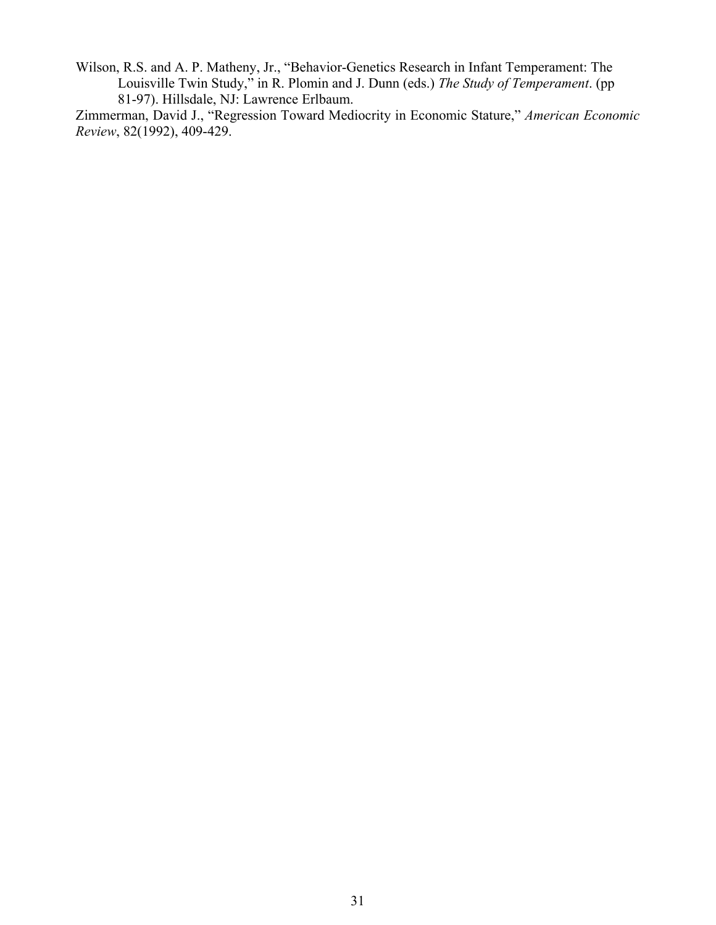Wilson, R.S. and A. P. Matheny, Jr., "Behavior-Genetics Research in Infant Temperament: The Louisville Twin Study," in R. Plomin and J. Dunn (eds.) *The Study of Temperament*. (pp 81-97). Hillsdale, NJ: Lawrence Erlbaum.

Zimmerman, David J., "Regression Toward Mediocrity in Economic Stature," *American Economic Review*, 82(1992), 409-429.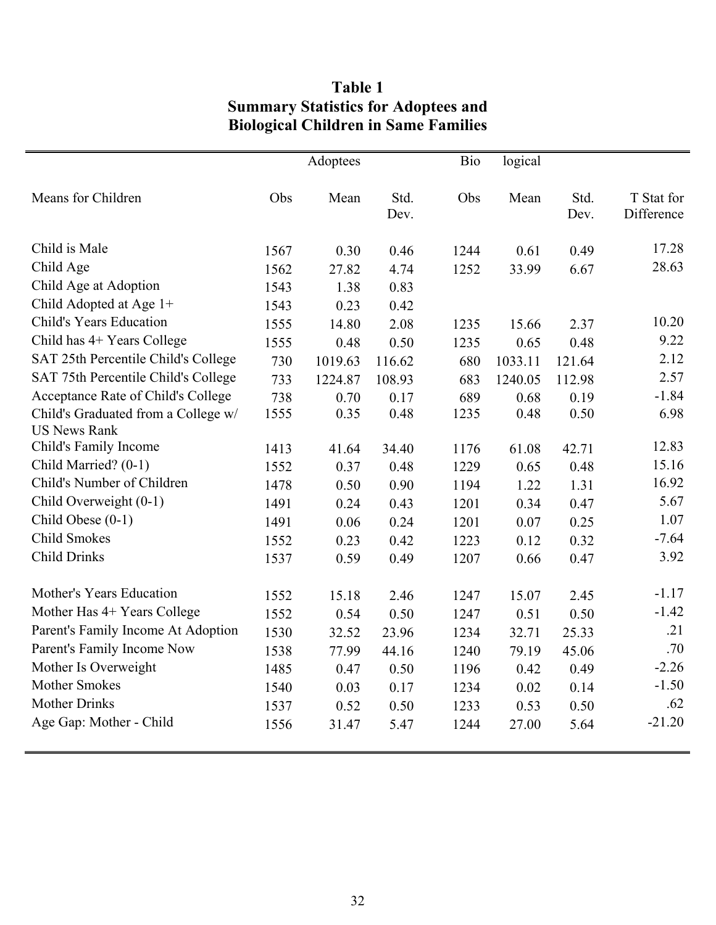## **Table 1 Summary Statistics for Adoptees and Biological Children in Same Families**

|                                     |      | Adoptees |              | <b>Bio</b> | logical |              |                          |
|-------------------------------------|------|----------|--------------|------------|---------|--------------|--------------------------|
| Means for Children                  | Obs  | Mean     | Std.<br>Dev. | Obs        | Mean    | Std.<br>Dev. | T Stat for<br>Difference |
| Child is Male                       | 1567 | 0.30     | 0.46         | 1244       | 0.61    | 0.49         | 17.28                    |
| Child Age                           | 1562 | 27.82    | 4.74         | 1252       | 33.99   | 6.67         | 28.63                    |
| Child Age at Adoption               | 1543 | 1.38     | 0.83         |            |         |              |                          |
| Child Adopted at Age 1+             | 1543 | 0.23     | 0.42         |            |         |              |                          |
| Child's Years Education             | 1555 | 14.80    | 2.08         | 1235       | 15.66   | 2.37         | 10.20                    |
| Child has 4+ Years College          | 1555 | 0.48     | 0.50         | 1235       | 0.65    | 0.48         | 9.22                     |
| SAT 25th Percentile Child's College | 730  | 1019.63  | 116.62       | 680        | 1033.11 | 121.64       | 2.12                     |
| SAT 75th Percentile Child's College | 733  | 1224.87  | 108.93       | 683        | 1240.05 | 112.98       | 2.57                     |
| Acceptance Rate of Child's College  | 738  | 0.70     | 0.17         | 689        | 0.68    | 0.19         | $-1.84$                  |
| Child's Graduated from a College w/ | 1555 | 0.35     | 0.48         | 1235       | 0.48    | 0.50         | 6.98                     |
| <b>US News Rank</b>                 |      |          |              |            |         |              |                          |
| Child's Family Income               | 1413 | 41.64    | 34.40        | 1176       | 61.08   | 42.71        | 12.83                    |
| Child Married? (0-1)                | 1552 | 0.37     | 0.48         | 1229       | 0.65    | 0.48         | 15.16                    |
| Child's Number of Children          | 1478 | 0.50     | 0.90         | 1194       | 1.22    | 1.31         | 16.92                    |
| Child Overweight (0-1)              | 1491 | 0.24     | 0.43         | 1201       | 0.34    | 0.47         | 5.67                     |
| Child Obese (0-1)                   | 1491 | 0.06     | 0.24         | 1201       | 0.07    | 0.25         | 1.07                     |
| <b>Child Smokes</b>                 | 1552 | 0.23     | 0.42         | 1223       | 0.12    | 0.32         | $-7.64$                  |
| <b>Child Drinks</b>                 | 1537 | 0.59     | 0.49         | 1207       | 0.66    | 0.47         | 3.92                     |
| Mother's Years Education            | 1552 | 15.18    | 2.46         | 1247       | 15.07   | 2.45         | $-1.17$                  |
| Mother Has 4+ Years College         | 1552 | 0.54     | 0.50         | 1247       | 0.51    | 0.50         | $-1.42$                  |
| Parent's Family Income At Adoption  | 1530 | 32.52    | 23.96        | 1234       | 32.71   | 25.33        | .21                      |
| Parent's Family Income Now          | 1538 | 77.99    | 44.16        | 1240       | 79.19   | 45.06        | .70                      |
| Mother Is Overweight                | 1485 | 0.47     | 0.50         | 1196       | 0.42    | 0.49         | $-2.26$                  |
| <b>Mother Smokes</b>                | 1540 | 0.03     | 0.17         | 1234       | 0.02    | 0.14         | $-1.50$                  |
| <b>Mother Drinks</b>                | 1537 | 0.52     | 0.50         | 1233       | 0.53    | 0.50         | .62                      |
| Age Gap: Mother - Child             | 1556 | 31.47    | 5.47         | 1244       | 27.00   | 5.64         | $-21.20$                 |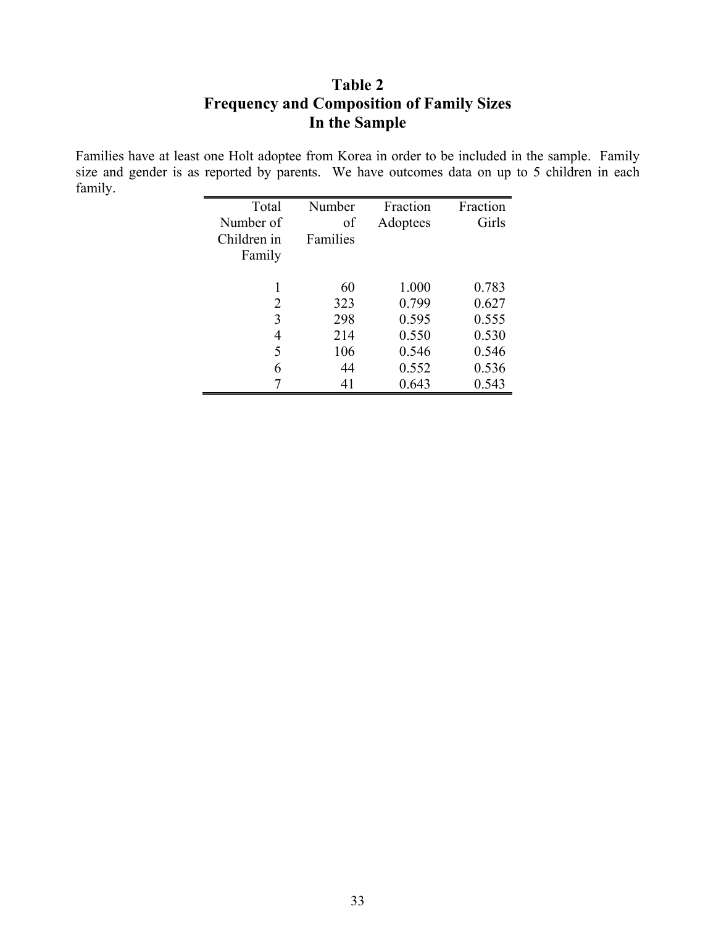## **Table 2 Frequency and Composition of Family Sizes In the Sample**

Families have at least one Holt adoptee from Korea in order to be included in the sample. Family size and gender is as reported by parents. We have outcomes data on up to 5 children in each family.

| Total       | Number   | Fraction | Fraction |
|-------------|----------|----------|----------|
| Number of   | of       | Adoptees | Girls    |
| Children in | Families |          |          |
| Family      |          |          |          |
|             |          |          |          |
|             | 60       | 1.000    | 0.783    |
| 2           | 323      | 0.799    | 0.627    |
| 3           | 298      | 0.595    | 0.555    |
| 4           | 214      | 0.550    | 0.530    |
| 5           | 106      | 0.546    | 0.546    |
| 6           | 44       | 0.552    | 0.536    |
|             | 41       | 0.643    | 0.543    |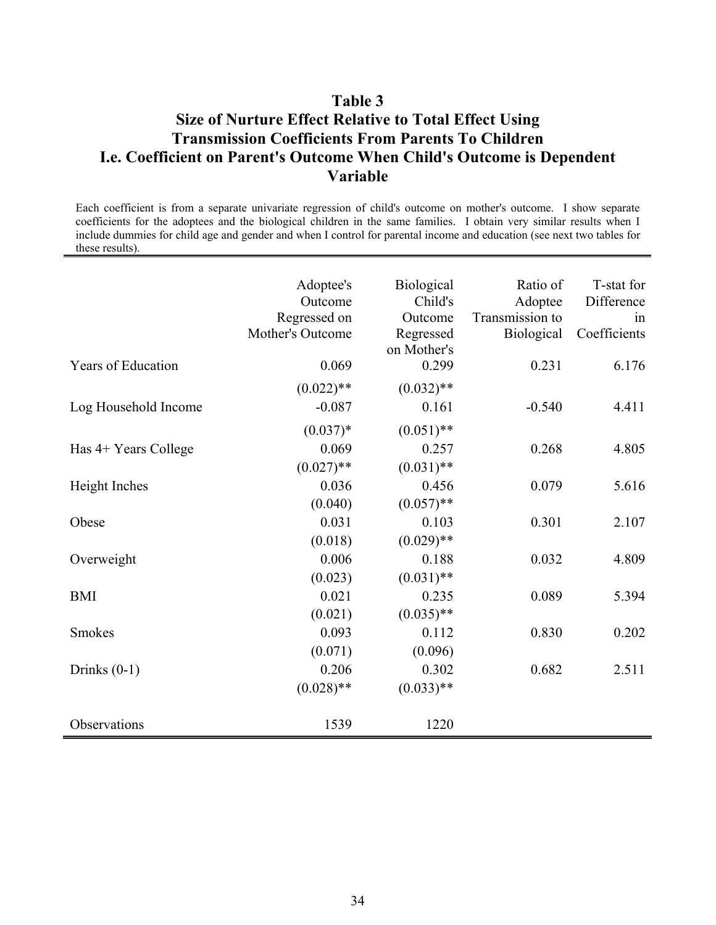### **Table 3**

### **Size of Nurture Effect Relative to Total Effect Using Transmission Coefficients From Parents To Children I.e. Coefficient on Parent's Outcome When Child's Outcome is Dependent Variable**

Each coefficient is from a separate univariate regression of child's outcome on mother's outcome. I show separate coefficients for the adoptees and the biological children in the same families. I obtain very similar results when I include dummies for child age and gender and when I control for parental income and education (see next two tables for these results).

|                           | Adoptee's<br>Outcome<br>Regressed on<br>Mother's Outcome | Biological<br>Child's<br>Outcome<br>Regressed<br>on Mother's | Ratio of<br>Adoptee<br>Transmission to<br><b>Biological</b> | T-stat for<br>Difference<br>1n<br>Coefficients |
|---------------------------|----------------------------------------------------------|--------------------------------------------------------------|-------------------------------------------------------------|------------------------------------------------|
| <b>Years of Education</b> | 0.069                                                    | 0.299                                                        | 0.231                                                       | 6.176                                          |
|                           | $(0.022)$ **                                             | $(0.032)$ **                                                 |                                                             |                                                |
| Log Household Income      | $-0.087$                                                 | 0.161                                                        | $-0.540$                                                    | 4.411                                          |
|                           | $(0.037)*$                                               | $(0.051)$ **                                                 |                                                             |                                                |
| Has 4+ Years College      | 0.069                                                    | 0.257                                                        | 0.268                                                       | 4.805                                          |
|                           | $(0.027)$ **                                             | $(0.031)$ **                                                 |                                                             |                                                |
| Height Inches             | 0.036                                                    | 0.456                                                        | 0.079                                                       | 5.616                                          |
|                           | (0.040)                                                  | $(0.057)$ **                                                 |                                                             |                                                |
| Obese                     | 0.031                                                    | 0.103                                                        | 0.301                                                       | 2.107                                          |
|                           | (0.018)                                                  | $(0.029)$ **                                                 |                                                             |                                                |
| Overweight                | 0.006                                                    | 0.188                                                        | 0.032                                                       | 4.809                                          |
|                           | (0.023)                                                  | $(0.031)$ **                                                 |                                                             |                                                |
| <b>BMI</b>                | 0.021                                                    | 0.235                                                        | 0.089                                                       | 5.394                                          |
|                           | (0.021)                                                  | $(0.035)$ **                                                 |                                                             |                                                |
| <b>Smokes</b>             | 0.093                                                    | 0.112                                                        | 0.830                                                       | 0.202                                          |
|                           | (0.071)                                                  | (0.096)                                                      |                                                             |                                                |
| Drinks $(0-1)$            | 0.206                                                    | 0.302                                                        | 0.682                                                       | 2.511                                          |
|                           | $(0.028)$ **                                             | $(0.033)$ **                                                 |                                                             |                                                |
| Observations              | 1539                                                     | 1220                                                         |                                                             |                                                |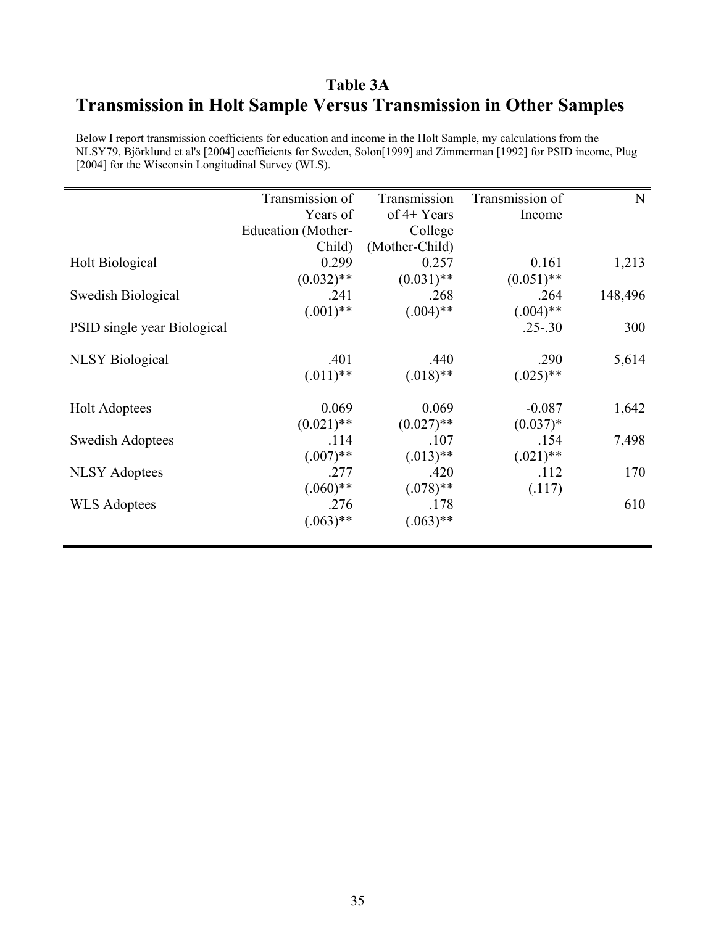## **Table 3A Transmission in Holt Sample Versus Transmission in Other Samples**

Below I report transmission coefficients for education and income in the Holt Sample, my calculations from the NLSY79, Björklund et al's [2004] coefficients for Sweden, Solon[1999] and Zimmerman [1992] for PSID income, Plug [2004] for the Wisconsin Longitudinal Survey (WLS).

|                             | Transmission of    | Transmission   | Transmission of | N       |
|-----------------------------|--------------------|----------------|-----------------|---------|
|                             | Years of           | of $4+$ Years  | Income          |         |
|                             | Education (Mother- | College        |                 |         |
|                             | Child)             | (Mother-Child) |                 |         |
| <b>Holt Biological</b>      | 0.299              | 0.257          | 0.161           | 1,213   |
|                             | $(0.032)$ **       | $(0.031)$ **   | $(0.051)$ **    |         |
| Swedish Biological          | .241               | .268           | .264            | 148,496 |
|                             | $(.001)$ **        | $(.004)$ **    | $(.004)$ **     |         |
| PSID single year Biological |                    |                | $.25 - .30$     | 300     |
|                             |                    |                |                 |         |
| <b>NLSY</b> Biological      | .401               | .440           | .290            | 5,614   |
|                             | $(.011)$ **        | $(.018)$ **    | $(.025)$ **     |         |
|                             |                    |                |                 |         |
| <b>Holt Adoptees</b>        | 0.069              | 0.069          | $-0.087$        | 1,642   |
|                             | $(0.021)$ **       | $(0.027)$ **   | $(0.037)*$      |         |
| <b>Swedish Adoptees</b>     | .114               | .107           | .154            | 7,498   |
|                             | $(.007)$ **        | $(.013)$ **    | $(.021)$ **     |         |
| <b>NLSY Adoptees</b>        | .277               | .420           | .112            | 170     |
|                             | $(.060)$ **        | $(.078)$ **    | (.117)          |         |
| <b>WLS</b> Adoptees         | .276               | .178           |                 | 610     |
|                             | $(.063)$ **        | $(.063)$ **    |                 |         |
|                             |                    |                |                 |         |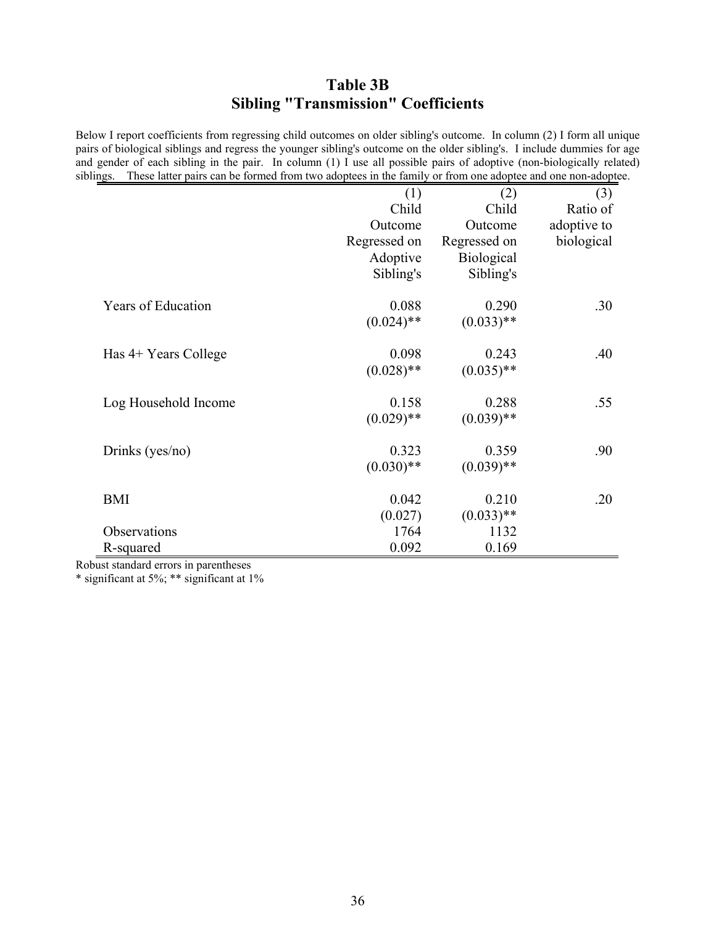## **Table 3B Sibling "Transmission" Coefficients**

Below I report coefficients from regressing child outcomes on older sibling's outcome. In column (2) I form all unique pairs of biological siblings and regress the younger sibling's outcome on the older sibling's. I include dummies for age and gender of each sibling in the pair. In column (1) I use all possible pairs of adoptive (non-biologically related) siblings. These latter pairs can be formed from two adoptees in the family or from one adoptee and one non-adoptee.

|                           | (1)          | (2)               | (3)         |
|---------------------------|--------------|-------------------|-------------|
|                           | Child        | Child             | Ratio of    |
|                           | Outcome      | Outcome           | adoptive to |
|                           | Regressed on | Regressed on      | biological  |
|                           | Adoptive     | <b>Biological</b> |             |
|                           | Sibling's    | Sibling's         |             |
| <b>Years of Education</b> | 0.088        | 0.290             | .30         |
|                           | $(0.024)$ ** | $(0.033)$ **      |             |
| Has 4+ Years College      | 0.098        | 0.243             | .40         |
|                           | $(0.028)$ ** | $(0.035)$ **      |             |
| Log Household Income      | 0.158        | 0.288             | .55         |
|                           | $(0.029)$ ** | $(0.039)$ **      |             |
| Drinks (yes/no)           | 0.323        | 0.359             | .90         |
|                           | $(0.030)$ ** | $(0.039)$ **      |             |
| <b>BMI</b>                | 0.042        | 0.210             | .20         |
|                           | (0.027)      | $(0.033)$ **      |             |
| Observations              | 1764         | 1132              |             |
| R-squared                 | 0.092        | 0.169             |             |

Robust standard errors in parentheses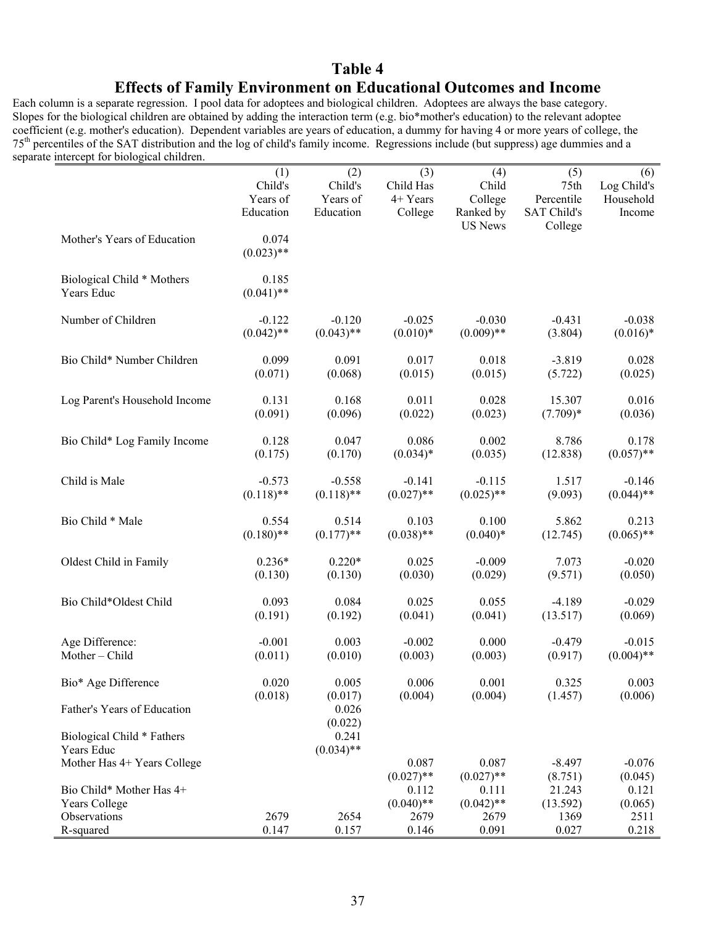## **Table 4 Effects of Family Environment on Educational Outcomes and Income**

Each column is a separate regression. I pool data for adoptees and biological children. Adoptees are always the base category. Slopes for the biological children are obtained by adding the interaction term (e.g. bio\*mother's education) to the relevant adoptee coefficient (e.g. mother's education). Dependent variables are years of education, a dummy for having 4 or more years of college, the 75th percentiles of the SAT distribution and the log of child's family income. Regressions include (but suppress) age dummies and a separate intercept for biological children.

|                               | (1)          | (2)          | (3)          | (4)            | (5)                | (6)          |
|-------------------------------|--------------|--------------|--------------|----------------|--------------------|--------------|
|                               | Child's      | Child's      | Child Has    | Child          | 75th               | Log Child's  |
|                               | Years of     | Years of     | 4+ Years     | College        | Percentile         | Household    |
|                               | Education    | Education    | College      | Ranked by      | <b>SAT Child's</b> | Income       |
|                               |              |              |              | <b>US News</b> | College            |              |
| Mother's Years of Education   | 0.074        |              |              |                |                    |              |
|                               | $(0.023)$ ** |              |              |                |                    |              |
| Biological Child * Mothers    | 0.185        |              |              |                |                    |              |
| Years Educ                    | $(0.041)$ ** |              |              |                |                    |              |
| Number of Children            | $-0.122$     | $-0.120$     | $-0.025$     | $-0.030$       | $-0.431$           | $-0.038$     |
|                               | $(0.042)$ ** | $(0.043)$ ** | $(0.010)*$   | $(0.009)$ **   | (3.804)            | $(0.016)*$   |
| Bio Child* Number Children    | 0.099        | 0.091        | 0.017        | 0.018          | $-3.819$           | 0.028        |
|                               | (0.071)      | (0.068)      | (0.015)      | (0.015)        | (5.722)            | (0.025)      |
| Log Parent's Household Income | 0.131        | 0.168        | 0.011        | 0.028          | 15.307             | 0.016        |
|                               | (0.091)      | (0.096)      | (0.022)      | (0.023)        | $(7.709)*$         | (0.036)      |
| Bio Child* Log Family Income  | 0.128        | 0.047        | 0.086        | 0.002          | 8.786              | 0.178        |
|                               | (0.175)      | (0.170)      | $(0.034)*$   | (0.035)        | (12.838)           | $(0.057)$ ** |
| Child is Male                 | $-0.573$     | $-0.558$     | $-0.141$     | $-0.115$       | 1.517              | $-0.146$     |
|                               | $(0.118)$ ** | $(0.118)$ ** | $(0.027)$ ** | $(0.025)$ **   | (9.093)            | $(0.044)$ ** |
| Bio Child * Male              | 0.554        | 0.514        | 0.103        | 0.100          | 5.862              | 0.213        |
|                               | $(0.180)$ ** | $(0.177)$ ** | $(0.038)$ ** | $(0.040)*$     | (12.745)           | $(0.065)$ ** |
| Oldest Child in Family        | $0.236*$     | $0.220*$     | 0.025        | $-0.009$       | 7.073              | $-0.020$     |
|                               | (0.130)      | (0.130)      | (0.030)      | (0.029)        | (9.571)            | (0.050)      |
| Bio Child*Oldest Child        | 0.093        | 0.084        | 0.025        | 0.055          | $-4.189$           | $-0.029$     |
|                               | (0.191)      | (0.192)      | (0.041)      | (0.041)        | (13.517)           | (0.069)      |
| Age Difference:               | $-0.001$     | 0.003        | $-0.002$     | 0.000          | $-0.479$           | $-0.015$     |
| Mother-Child                  | (0.011)      | (0.010)      | (0.003)      | (0.003)        | (0.917)            | $(0.004)$ ** |
| Bio* Age Difference           | 0.020        | 0.005        | 0.006        | 0.001          | 0.325              | 0.003        |
|                               | (0.018)      | (0.017)      | (0.004)      | (0.004)        | (1.457)            | (0.006)      |
| Father's Years of Education   |              | 0.026        |              |                |                    |              |
|                               |              | (0.022)      |              |                |                    |              |
| Biological Child * Fathers    |              | 0.241        |              |                |                    |              |
| Years Educ                    |              | $(0.034)$ ** |              |                |                    |              |
| Mother Has 4+ Years College   |              |              | 0.087        | 0.087          | $-8.497$           | $-0.076$     |
|                               |              |              | $(0.027)$ ** | $(0.027)$ **   | (8.751)            | (0.045)      |
| Bio Child* Mother Has 4+      |              |              | 0.112        | 0.111          | 21.243             | 0.121        |
| Years College<br>Observations | 2679         |              | $(0.040)$ ** | $(0.042)$ **   | (13.592)           | (0.065)      |
|                               |              | 2654         | 2679         | 2679           | 1369               | 2511         |
| R-squared                     | 0.147        | 0.157        | 0.146        | 0.091          | 0.027              | 0.218        |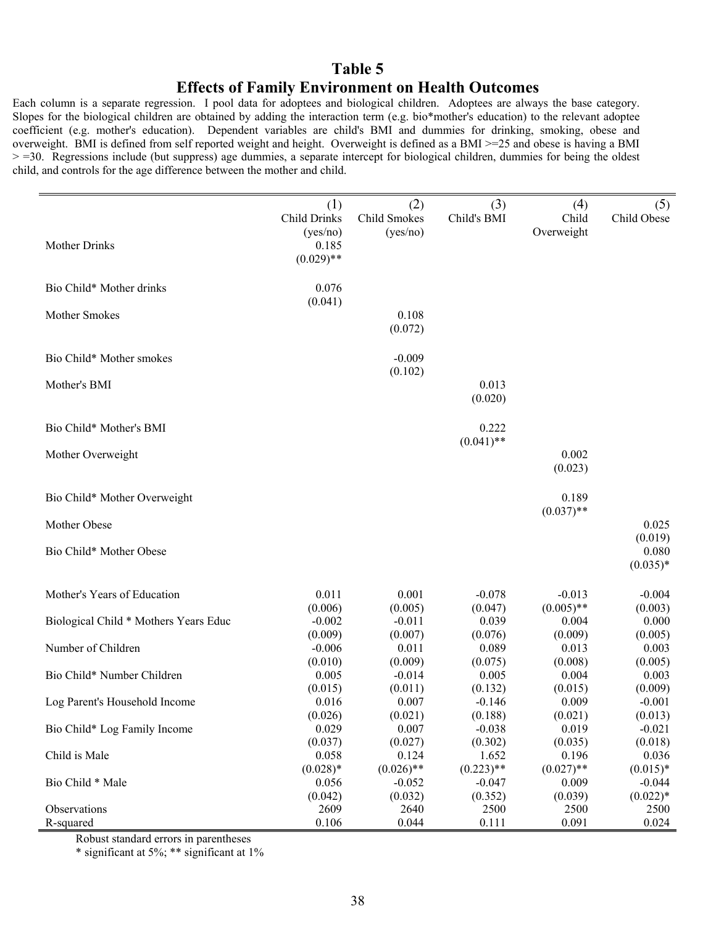### **Table 5**

### **Effects of Family Environment on Health Outcomes**

Each column is a separate regression. I pool data for adoptees and biological children. Adoptees are always the base category. Slopes for the biological children are obtained by adding the interaction term (e.g. bio\*mother's education) to the relevant adoptee coefficient (e.g. mother's education). Dependent variables are child's BMI and dummies for drinking, smoking, obese and overweight. BMI is defined from self reported weight and height. Overweight is defined as a BMI >=25 and obese is having a BMI > =30. Regressions include (but suppress) age dummies, a separate intercept for biological children, dummies for being the oldest child, and controls for the age difference between the mother and child.

| <b>Mother Drinks</b>                  | (1)<br><b>Child Drinks</b><br>(yes/no)<br>0.185<br>$(0.029)$ ** | (2)<br>Child Smokes<br>(yes/no)     | (3)<br>Child's BMI                  | (4)<br>Child<br>Overweight       | (5)<br>Child Obese                   |
|---------------------------------------|-----------------------------------------------------------------|-------------------------------------|-------------------------------------|----------------------------------|--------------------------------------|
| Bio Child* Mother drinks              | 0.076                                                           |                                     |                                     |                                  |                                      |
| Mother Smokes                         | (0.041)                                                         | 0.108<br>(0.072)                    |                                     |                                  |                                      |
| Bio Child* Mother smokes              |                                                                 | $-0.009$                            |                                     |                                  |                                      |
| Mother's BMI                          |                                                                 | (0.102)                             | 0.013<br>(0.020)                    |                                  |                                      |
| Bio Child* Mother's BMI               |                                                                 |                                     | 0.222<br>$(0.041)$ **               |                                  |                                      |
| Mother Overweight                     |                                                                 |                                     |                                     | 0.002<br>(0.023)                 |                                      |
| Bio Child* Mother Overweight          |                                                                 |                                     |                                     | 0.189<br>$(0.037)$ **            |                                      |
| Mother Obese                          |                                                                 |                                     |                                     |                                  | 0.025                                |
| Bio Child* Mother Obese               |                                                                 |                                     |                                     |                                  | (0.019)<br>0.080<br>$(0.035)*$       |
| Mother's Years of Education           | 0.011<br>(0.006)                                                | 0.001<br>(0.005)                    | $-0.078$<br>(0.047)                 | $-0.013$<br>$(0.005)$ **         | $-0.004$<br>(0.003)                  |
| Biological Child * Mothers Years Educ | $-0.002$<br>(0.009)                                             | $-0.011$<br>(0.007)                 | 0.039<br>(0.076)                    | 0.004<br>(0.009)                 | 0.000<br>(0.005)                     |
| Number of Children                    | $-0.006$                                                        | 0.011                               | 0.089                               | 0.013                            | 0.003                                |
| Bio Child* Number Children            | (0.010)<br>0.005                                                | (0.009)<br>$-0.014$                 | (0.075)<br>0.005                    | (0.008)<br>0.004                 | (0.005)<br>0.003                     |
| Log Parent's Household Income         | (0.015)<br>0.016                                                | (0.011)<br>0.007                    | (0.132)<br>$-0.146$                 | (0.015)<br>0.009                 | (0.009)<br>$-0.001$                  |
| Bio Child* Log Family Income          | (0.026)<br>0.029                                                | (0.021)<br>0.007                    | (0.188)<br>$-0.038$                 | (0.021)<br>0.019                 | (0.013)<br>$-0.021$                  |
| Child is Male                         | (0.037)<br>0.058                                                | (0.027)<br>0.124                    | (0.302)<br>1.652                    | (0.035)<br>0.196                 | (0.018)<br>0.036                     |
| Bio Child * Male                      | $(0.028)*$<br>0.056<br>(0.042)                                  | $(0.026)$ **<br>$-0.052$<br>(0.032) | $(0.223)$ **<br>$-0.047$<br>(0.352) | $(0.027)$ **<br>0.009<br>(0.039) | $(0.015)*$<br>$-0.044$<br>$(0.022)*$ |
| Observations<br>R-squared             | 2609<br>0.106                                                   | 2640<br>0.044                       | 2500<br>0.111                       | 2500<br>0.091                    | 2500<br>0.024                        |

Robust standard errors in parentheses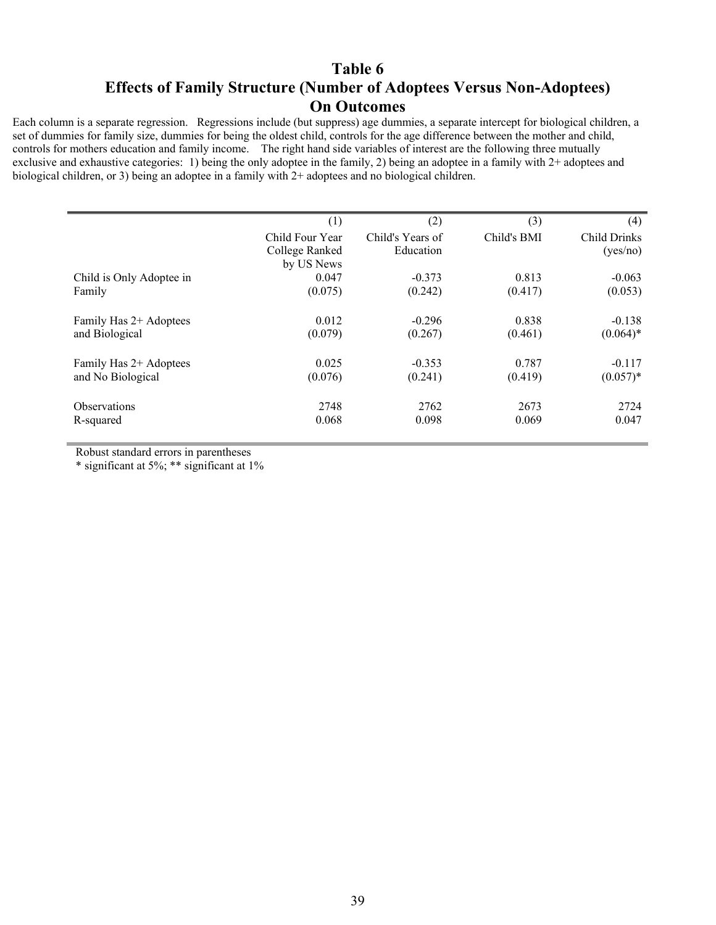### **Table 6**

### **Effects of Family Structure (Number of Adoptees Versus Non-Adoptees) On Outcomes**

Each column is a separate regression. Regressions include (but suppress) age dummies, a separate intercept for biological children, a set of dummies for family size, dummies for being the oldest child, controls for the age difference between the mother and child, controls for mothers education and family income. The right hand side variables of interest are the following three mutually exclusive and exhaustive categories: 1) being the only adoptee in the family, 2) being an adoptee in a family with 2+ adoptees and biological children, or 3) being an adoptee in a family with 2+ adoptees and no biological children.

|                          | (1)             | (2)              | (3)         | (4)          |
|--------------------------|-----------------|------------------|-------------|--------------|
|                          | Child Four Year | Child's Years of | Child's BMI | Child Drinks |
|                          | College Ranked  | Education        |             | (yes/no)     |
|                          | by US News      |                  |             |              |
| Child is Only Adoptee in | 0.047           | $-0.373$         | 0.813       | $-0.063$     |
| Family                   | (0.075)         | (0.242)          | (0.417)     | (0.053)      |
|                          |                 |                  |             |              |
| Family Has 2+ Adoptees   | 0.012           | $-0.296$         | 0.838       | $-0.138$     |
| and Biological           | (0.079)         | (0.267)          | (0.461)     | $(0.064)$ *  |
|                          |                 |                  |             |              |
| Family Has 2+ Adoptees   | 0.025           | $-0.353$         | 0.787       | $-0.117$     |
| and No Biological        | (0.076)         | (0.241)          | (0.419)     | $(0.057)*$   |
|                          |                 |                  |             |              |
| <b>Observations</b>      | 2748            | 2762             | 2673        | 2724         |
| R-squared                | 0.068           | 0.098            | 0.069       | 0.047        |
|                          |                 |                  |             |              |

Robust standard errors in parentheses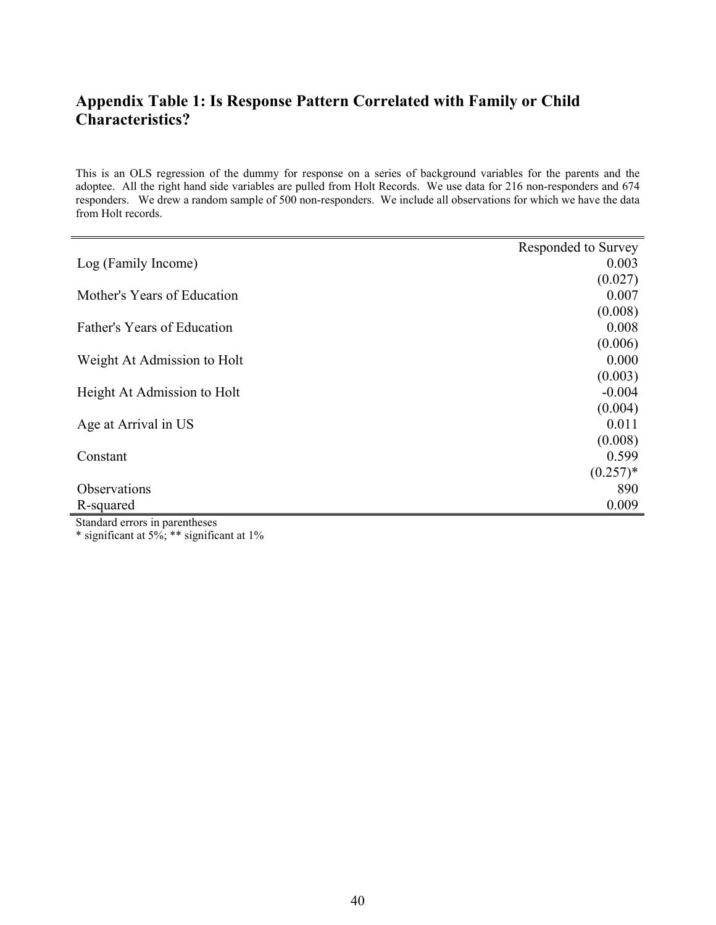## **Appendix Table 1: Is Response Pattern Correlated with Family or Child Characteristics?**

This is an OLS regression of the dummy for response on a series of background variables for the parents and the adoptee. All the right hand side variables are pulled from Holt Records. We use data for 216 non-responders and 674 responders. We drew a random sample of 500 non-responders. We include all observations for which we have the data from Holt records.

|                             | Responded to Survey |
|-----------------------------|---------------------|
| Log (Family Income)         | 0.003               |
|                             | (0.027)             |
| Mother's Years of Education | 0.007               |
|                             | (0.008)             |
| Father's Years of Education | 0.008               |
|                             | (0.006)             |
| Weight At Admission to Holt | 0.000               |
|                             | (0.003)             |
| Height At Admission to Holt | $-0.004$            |
|                             | (0.004)             |
| Age at Arrival in US        | 0.011               |
|                             | (0.008)             |
| Constant                    | 0.599               |
|                             | $(0.257)^*$         |
| Observations                | 890                 |
| R-squared                   | 0.009               |

Standard errors in parentheses \* significant at  $5\%$ ; \*\* significant at  $1\%$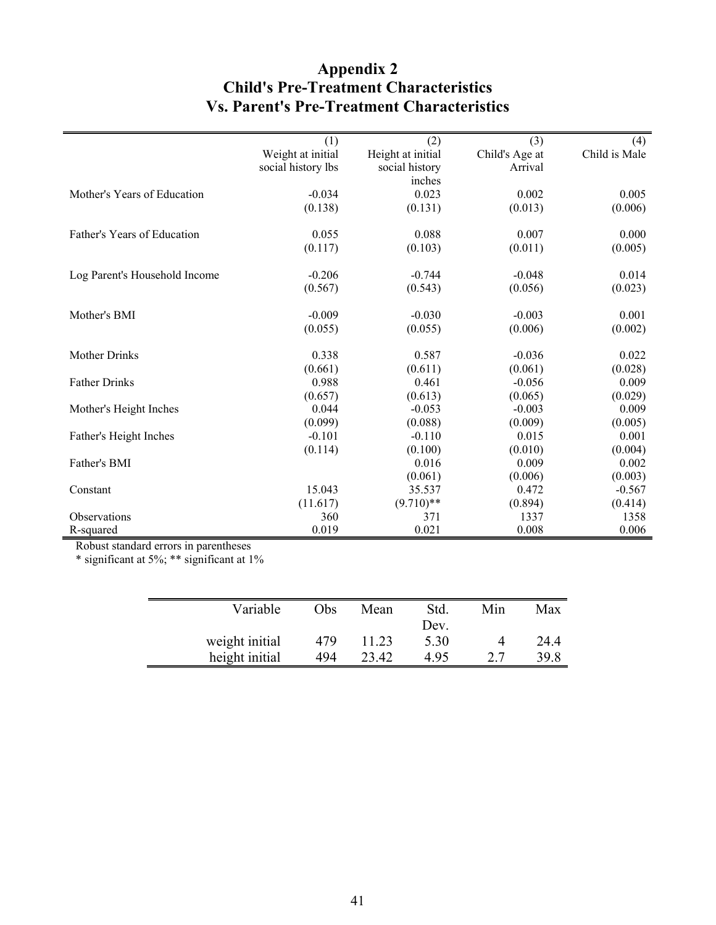## **Appendix 2 Child's Pre-Treatment Characteristics Vs. Parent's Pre-Treatment Characteristics**

|                               | (1)                | (2)               | (3)            | (4)           |
|-------------------------------|--------------------|-------------------|----------------|---------------|
|                               | Weight at initial  | Height at initial | Child's Age at | Child is Male |
|                               | social history lbs | social history    | Arrival        |               |
|                               |                    | inches            |                |               |
| Mother's Years of Education   | $-0.034$           | 0.023             | 0.002          | 0.005         |
|                               | (0.138)            | (0.131)           | (0.013)        | (0.006)       |
| Father's Years of Education   | 0.055              | 0.088             | 0.007          | 0.000         |
|                               | (0.117)            | (0.103)           | (0.011)        | (0.005)       |
| Log Parent's Household Income | $-0.206$           | $-0.744$          | $-0.048$       | 0.014         |
|                               | (0.567)            | (0.543)           | (0.056)        | (0.023)       |
| Mother's BMI                  | $-0.009$           | $-0.030$          | $-0.003$       | 0.001         |
|                               | (0.055)            | (0.055)           | (0.006)        | (0.002)       |
| <b>Mother Drinks</b>          | 0.338              | 0.587             | $-0.036$       | 0.022         |
|                               | (0.661)            | (0.611)           | (0.061)        | (0.028)       |
| <b>Father Drinks</b>          | 0.988              | 0.461             | $-0.056$       | 0.009         |
|                               | (0.657)            | (0.613)           | (0.065)        | (0.029)       |
| Mother's Height Inches        | 0.044              | $-0.053$          | $-0.003$       | 0.009         |
|                               | (0.099)            | (0.088)           | (0.009)        | (0.005)       |
| Father's Height Inches        | $-0.101$           | $-0.110$          | 0.015          | 0.001         |
|                               | (0.114)            | (0.100)           | (0.010)        | (0.004)       |
| Father's BMI                  |                    | 0.016             | 0.009          | 0.002         |
|                               |                    | (0.061)           | (0.006)        | (0.003)       |
| Constant                      | 15.043             | 35.537            | 0.472          | $-0.567$      |
|                               | (11.617)           | $(9.710)$ **      | (0.894)        | (0.414)       |
| Observations                  | 360                | 371               | 1337           | 1358          |
| R-squared                     | 0.019              | 0.021             | 0.008          | 0.006         |

Robust standard errors in parentheses

| Variable       | Obs. | Mean  | Std. | Min | Max  |
|----------------|------|-------|------|-----|------|
|                |      |       | Dev. |     |      |
| weight initial | 479  | 11.23 | 5.30 |     | 24.4 |
| height initial | 494  | 23.42 | 495  | 27  | 39.8 |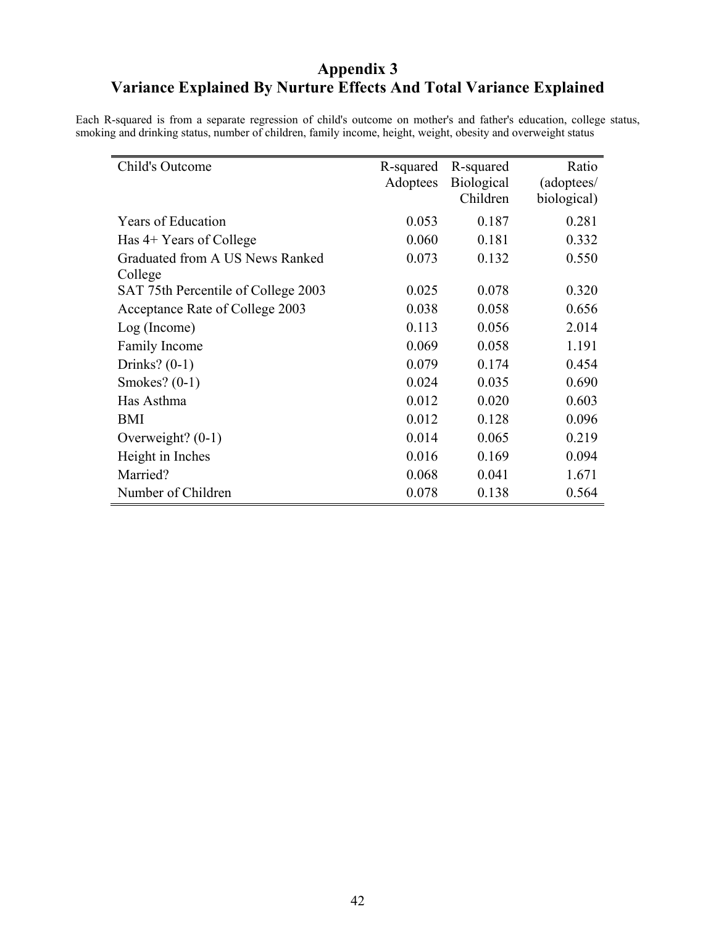## **Appendix 3 Variance Explained By Nurture Effects And Total Variance Explained**

Each R-squared is from a separate regression of child's outcome on mother's and father's education, college status, smoking and drinking status, number of children, family income, height, weight, obesity and overweight status

| Child's Outcome                     | R-squared<br>Adoptees | R-squared<br><b>Biological</b> | Ratio<br>(adoptees/ |
|-------------------------------------|-----------------------|--------------------------------|---------------------|
|                                     |                       | Children                       | biological)         |
| <b>Years of Education</b>           | 0.053                 | 0.187                          | 0.281               |
| Has 4+ Years of College             | 0.060                 | 0.181                          | 0.332               |
| Graduated from A US News Ranked     | 0.073                 | 0.132                          | 0.550               |
| College                             |                       |                                |                     |
| SAT 75th Percentile of College 2003 | 0.025                 | 0.078                          | 0.320               |
| Acceptance Rate of College 2003     | 0.038                 | 0.058                          | 0.656               |
| Log (Income)                        | 0.113                 | 0.056                          | 2.014               |
| <b>Family Income</b>                | 0.069                 | 0.058                          | 1.191               |
| Drinks? $(0-1)$                     | 0.079                 | 0.174                          | 0.454               |
| Smokes? $(0-1)$                     | 0.024                 | 0.035                          | 0.690               |
| Has Asthma                          | 0.012                 | 0.020                          | 0.603               |
| <b>BMI</b>                          | 0.012                 | 0.128                          | 0.096               |
| Overweight? $(0-1)$                 | 0.014                 | 0.065                          | 0.219               |
| Height in Inches                    | 0.016                 | 0.169                          | 0.094               |
| Married?                            | 0.068                 | 0.041                          | 1.671               |
| Number of Children                  | 0.078                 | 0.138                          | 0.564               |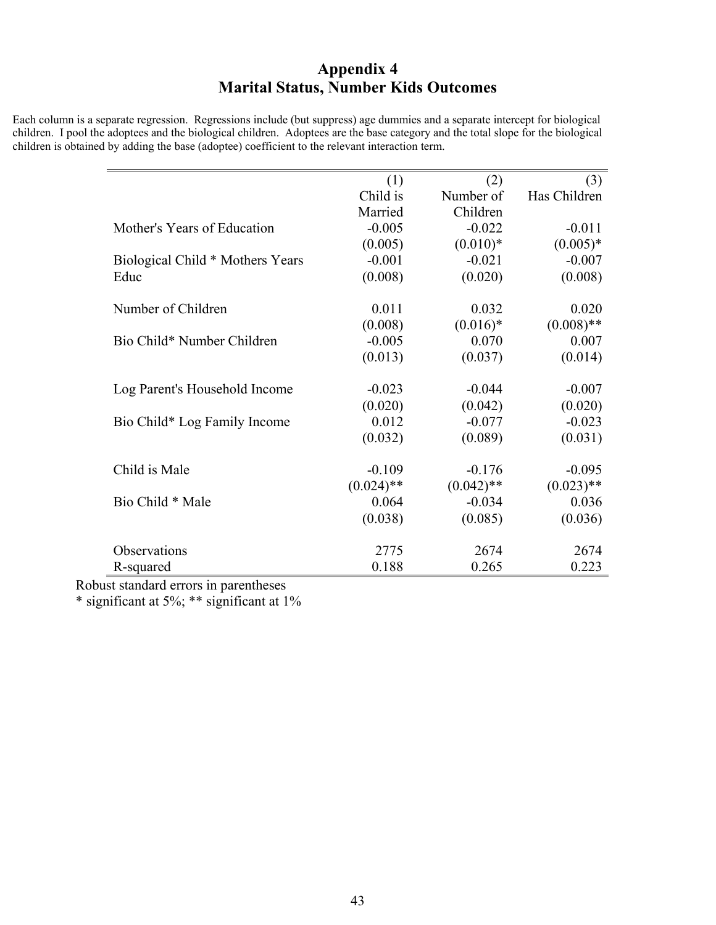## **Appendix 4 Marital Status, Number Kids Outcomes**

Each column is a separate regression. Regressions include (but suppress) age dummies and a separate intercept for biological children. I pool the adoptees and the biological children. Adoptees are the base category and the total slope for the biological children is obtained by adding the base (adoptee) coefficient to the relevant interaction term.

|                                  | (1)          | (2)          | (3)          |
|----------------------------------|--------------|--------------|--------------|
|                                  | Child is     | Number of    | Has Children |
|                                  | Married      | Children     |              |
| Mother's Years of Education      | $-0.005$     | $-0.022$     | $-0.011$     |
|                                  | (0.005)      | $(0.010)*$   | $(0.005)*$   |
| Biological Child * Mothers Years | $-0.001$     | $-0.021$     | $-0.007$     |
| Educ                             | (0.008)      | (0.020)      | (0.008)      |
| Number of Children               | 0.011        | 0.032        | 0.020        |
|                                  | (0.008)      | $(0.016)*$   | $(0.008)$ ** |
| Bio Child* Number Children       | $-0.005$     | 0.070        | 0.007        |
|                                  | (0.013)      | (0.037)      | (0.014)      |
| Log Parent's Household Income    | $-0.023$     | $-0.044$     | $-0.007$     |
|                                  | (0.020)      | (0.042)      | (0.020)      |
| Bio Child* Log Family Income     | 0.012        | $-0.077$     | $-0.023$     |
|                                  | (0.032)      | (0.089)      | (0.031)      |
| Child is Male                    | $-0.109$     | $-0.176$     | $-0.095$     |
|                                  | $(0.024)$ ** | $(0.042)$ ** | $(0.023)$ ** |
| Bio Child * Male                 | 0.064        | $-0.034$     | 0.036        |
|                                  | (0.038)      | (0.085)      | (0.036)      |
| Observations                     | 2775         | 2674         | 2674         |
| R-squared                        | 0.188        | 0.265        | 0.223        |

Robust standard errors in parentheses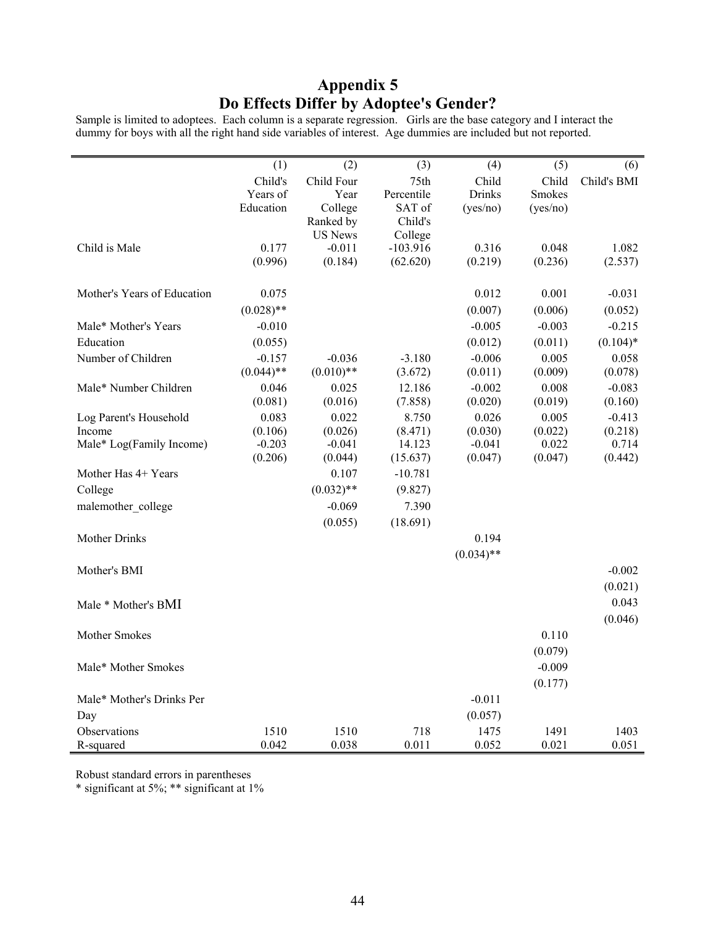## **Appendix 5 Do Effects Differ by Adoptee's Gender?**

Sample is limited to adoptees. Each column is a separate regression. Girls are the base category and I interact the dummy for boys with all the right hand side variables of interest. Age dummies are included but not reported.

|                             | (1)          | (2)            | (3)        | (4)           | (5)           | (6)         |
|-----------------------------|--------------|----------------|------------|---------------|---------------|-------------|
|                             | Child's      | Child Four     | 75th       | Child         | Child         | Child's BMI |
|                             | Years of     | Year           | Percentile | <b>Drinks</b> | <b>Smokes</b> |             |
|                             | Education    | College        | SAT of     | (yes/no)      | (yes/no)      |             |
|                             |              | Ranked by      | Child's    |               |               |             |
|                             |              | <b>US News</b> | College    |               |               |             |
| Child is Male               | 0.177        | $-0.011$       | $-103.916$ | 0.316         | 0.048         | 1.082       |
|                             | (0.996)      | (0.184)        | (62.620)   | (0.219)       | (0.236)       | (2.537)     |
| Mother's Years of Education | 0.075        |                |            | 0.012         | 0.001         | $-0.031$    |
|                             | $(0.028)$ ** |                |            | (0.007)       | (0.006)       | (0.052)     |
| Male* Mother's Years        | $-0.010$     |                |            | $-0.005$      | $-0.003$      | $-0.215$    |
| Education                   | (0.055)      |                |            | (0.012)       | (0.011)       | $(0.104)$ * |
| Number of Children          | $-0.157$     | $-0.036$       | $-3.180$   | $-0.006$      | 0.005         | 0.058       |
|                             | $(0.044)$ ** | $(0.010)$ **   | (3.672)    | (0.011)       | (0.009)       | (0.078)     |
| Male* Number Children       | 0.046        | 0.025          | 12.186     | $-0.002$      | 0.008         | $-0.083$    |
|                             | (0.081)      | (0.016)        | (7.858)    | (0.020)       | (0.019)       | (0.160)     |
| Log Parent's Household      | 0.083        | 0.022          | 8.750      | 0.026         | 0.005         | $-0.413$    |
| Income                      | (0.106)      | (0.026)        | (8.471)    | (0.030)       | (0.022)       | (0.218)     |
| Male* Log(Family Income)    | $-0.203$     | $-0.041$       | 14.123     | $-0.041$      | 0.022         | 0.714       |
|                             | (0.206)      | (0.044)        | (15.637)   | (0.047)       | (0.047)       | (0.442)     |
| Mother Has 4+ Years         |              | 0.107          | $-10.781$  |               |               |             |
| College                     |              | $(0.032)$ **   | (9.827)    |               |               |             |
| malemother college          |              | $-0.069$       | 7.390      |               |               |             |
|                             |              | (0.055)        | (18.691)   |               |               |             |
| <b>Mother Drinks</b>        |              |                |            | 0.194         |               |             |
|                             |              |                |            | $(0.034)$ **  |               |             |
| Mother's BMI                |              |                |            |               |               | $-0.002$    |
|                             |              |                |            |               |               | (0.021)     |
|                             |              |                |            |               |               |             |
| Male * Mother's BMI         |              |                |            |               |               | 0.043       |
|                             |              |                |            |               |               | (0.046)     |
| Mother Smokes               |              |                |            |               | 0.110         |             |
|                             |              |                |            |               | (0.079)       |             |
| Male* Mother Smokes         |              |                |            |               | $-0.009$      |             |
|                             |              |                |            |               | (0.177)       |             |
| Male* Mother's Drinks Per   |              |                |            | $-0.011$      |               |             |
| Day                         |              |                |            | (0.057)       |               |             |
| Observations                | 1510         | 1510           | 718        | 1475          | 1491          | 1403        |
| R-squared                   | 0.042        | 0.038          | 0.011      | 0.052         | 0.021         | 0.051       |

Robust standard errors in parentheses

l,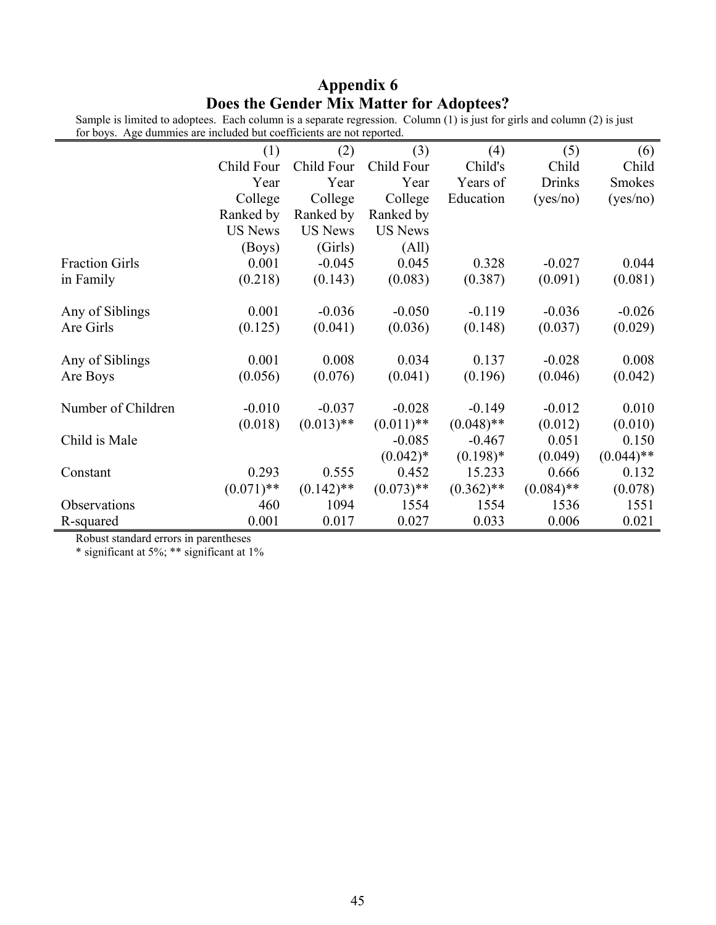## **Appendix 6 Does the Gender Mix Matter for Adoptees?**

| for boys. Age dummies are included but coefficients are not reported. |                |                |                |              |               |               |
|-----------------------------------------------------------------------|----------------|----------------|----------------|--------------|---------------|---------------|
|                                                                       | (1)            | (2)            | (3)            | (4)          | (5)           | (6)           |
|                                                                       | Child Four     | Child Four     | Child Four     | Child's      | Child         | Child         |
|                                                                       | Year           | Year           | Year           | Years of     | <b>Drinks</b> | <b>Smokes</b> |
|                                                                       | College        | College        | College        | Education    | (yes/no)      | (yes/no)      |
|                                                                       | Ranked by      | Ranked by      | Ranked by      |              |               |               |
|                                                                       | <b>US News</b> | <b>US News</b> | <b>US News</b> |              |               |               |
|                                                                       | (Boys)         | (Girls)        | (All)          |              |               |               |
| <b>Fraction Girls</b>                                                 | 0.001          | $-0.045$       | 0.045          | 0.328        | $-0.027$      | 0.044         |
| in Family                                                             | (0.218)        | (0.143)        | (0.083)        | (0.387)      | (0.091)       | (0.081)       |
|                                                                       |                |                |                |              |               |               |
| Any of Siblings                                                       | 0.001          | $-0.036$       | $-0.050$       | $-0.119$     | $-0.036$      | $-0.026$      |
| Are Girls                                                             | (0.125)        | (0.041)        | (0.036)        | (0.148)      | (0.037)       | (0.029)       |
|                                                                       |                |                |                |              |               |               |
| Any of Siblings                                                       | 0.001          | 0.008          | 0.034          | 0.137        | $-0.028$      | 0.008         |
| Are Boys                                                              | (0.056)        | (0.076)        | (0.041)        | (0.196)      | (0.046)       | (0.042)       |
|                                                                       |                |                |                |              |               |               |
| Number of Children                                                    | $-0.010$       | $-0.037$       | $-0.028$       | $-0.149$     | $-0.012$      | 0.010         |
|                                                                       | (0.018)        | $(0.013)$ **   | $(0.011)$ **   | $(0.048)$ ** | (0.012)       | (0.010)       |
| Child is Male                                                         |                |                | $-0.085$       | $-0.467$     | 0.051         | 0.150         |
|                                                                       |                |                | $(0.042)$ *    | $(0.198)$ *  | (0.049)       | $(0.044)$ **  |
| Constant                                                              | 0.293          | 0.555          | 0.452          | 15.233       | 0.666         | 0.132         |
|                                                                       | $(0.071)$ **   | $(0.142)$ **   | $(0.073)$ **   | $(0.362)$ ** | $(0.084)$ **  | (0.078)       |
| Observations                                                          | 460            | 1094           | 1554           | 1554         | 1536          | 1551          |
| R-squared                                                             | 0.001          | 0.017          | 0.027          | 0.033        | 0.006         | 0.021         |

Sample is limited to adoptees. Each column is a separate regression. Column (1) is just for girls and column (2) is just for boys. Age dummies are included but coefficients are not reported.

Robust standard errors in parentheses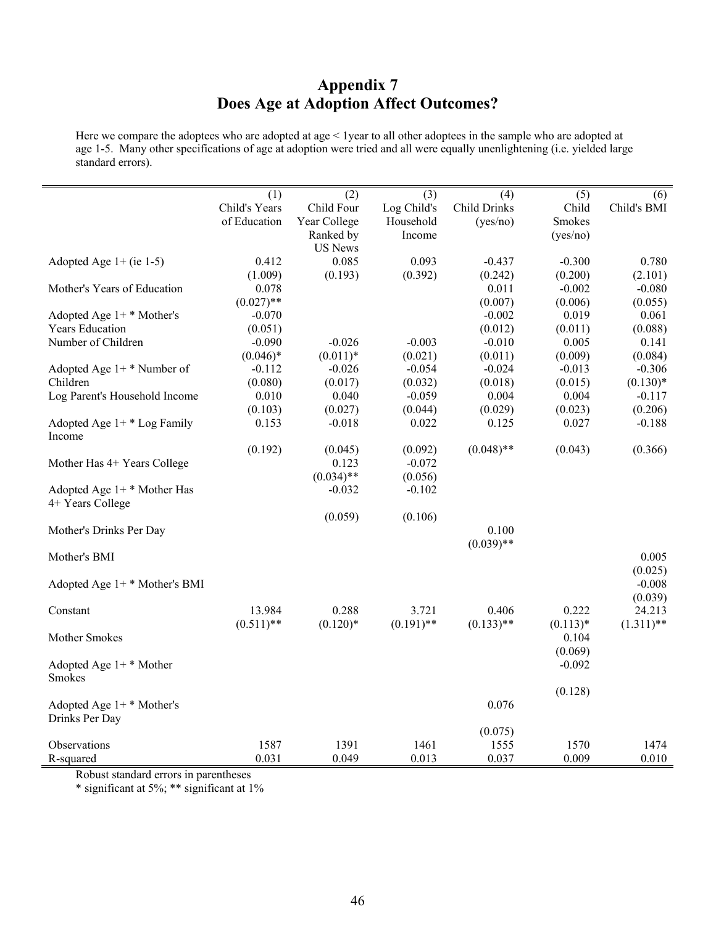## **Appendix 7 Does Age at Adoption Affect Outcomes?**

Here we compare the adoptees who are adopted at age < 1year to all other adoptees in the sample who are adopted at age 1-5. Many other specifications of age at adoption were tried and all were equally unenlightening (i.e. yielded large standard errors).

|                               | (1)           | (2)            | (3)          | (4)                 | (5)           | (6)          |
|-------------------------------|---------------|----------------|--------------|---------------------|---------------|--------------|
|                               | Child's Years | Child Four     | Log Child's  | <b>Child Drinks</b> | Child         | Child's BMI  |
|                               | of Education  | Year College   | Household    | (yes/no)            | <b>Smokes</b> |              |
|                               |               | Ranked by      | Income       |                     | (yes/no)      |              |
|                               |               | <b>US News</b> |              |                     |               |              |
| Adopted Age $1+$ (ie 1-5)     | 0.412         | 0.085          | 0.093        | $-0.437$            | $-0.300$      | 0.780        |
|                               | (1.009)       | (0.193)        | (0.392)      | (0.242)             | (0.200)       | (2.101)      |
| Mother's Years of Education   | 0.078         |                |              | 0.011               | $-0.002$      | $-0.080$     |
|                               | $(0.027)$ **  |                |              | (0.007)             | (0.006)       | (0.055)      |
| Adopted Age $1+$ * Mother's   | $-0.070$      |                |              | $-0.002$            | 0.019         | 0.061        |
| <b>Years Education</b>        | (0.051)       |                |              | (0.012)             | (0.011)       | (0.088)      |
| Number of Children            | $-0.090$      | $-0.026$       | $-0.003$     | $-0.010$            | 0.005         | 0.141        |
|                               | $(0.046)*$    | $(0.011)*$     | (0.021)      | (0.011)             | (0.009)       | (0.084)      |
| Adopted Age $1+$ * Number of  | $-0.112$      | $-0.026$       | $-0.054$     | $-0.024$            | $-0.013$      | $-0.306$     |
| Children                      | (0.080)       | (0.017)        | (0.032)      | (0.018)             | (0.015)       | $(0.130)*$   |
| Log Parent's Household Income | 0.010         | 0.040          | $-0.059$     | 0.004               | 0.004         | $-0.117$     |
|                               | (0.103)       | (0.027)        | (0.044)      | (0.029)             | (0.023)       | (0.206)      |
| Adopted Age $1+$ * Log Family | 0.153         | $-0.018$       | 0.022        | 0.125               | 0.027         | $-0.188$     |
| Income                        |               |                |              |                     |               |              |
|                               | (0.192)       | (0.045)        | (0.092)      | $(0.048)$ **        | (0.043)       | (0.366)      |
| Mother Has 4+ Years College   |               | 0.123          | $-0.072$     |                     |               |              |
|                               |               | $(0.034)$ **   | (0.056)      |                     |               |              |
| Adopted Age $1+$ * Mother Has |               | $-0.032$       | $-0.102$     |                     |               |              |
| 4+ Years College              |               |                |              |                     |               |              |
|                               |               | (0.059)        | (0.106)      |                     |               |              |
| Mother's Drinks Per Day       |               |                |              | 0.100               |               |              |
|                               |               |                |              | $(0.039)$ **        |               |              |
| Mother's BMI                  |               |                |              |                     |               | 0.005        |
|                               |               |                |              |                     |               | (0.025)      |
| Adopted Age 1+ * Mother's BMI |               |                |              |                     |               | $-0.008$     |
|                               |               |                |              |                     |               | (0.039)      |
| Constant                      | 13.984        | 0.288          | 3.721        | 0.406               | 0.222         | 24.213       |
|                               | $(0.511)$ **  | $(0.120)*$     | $(0.191)$ ** | $(0.133)$ **        | $(0.113)*$    | $(1.311)$ ** |
| Mother Smokes                 |               |                |              |                     | 0.104         |              |
|                               |               |                |              |                     | (0.069)       |              |
| Adopted Age $1+$ * Mother     |               |                |              |                     | $-0.092$      |              |
| <b>Smokes</b>                 |               |                |              |                     |               |              |
|                               |               |                |              |                     | (0.128)       |              |
| Adopted Age $1+$ * Mother's   |               |                |              | 0.076               |               |              |
| Drinks Per Day                |               |                |              |                     |               |              |
|                               |               |                |              | (0.075)             |               |              |
| Observations                  | 1587          | 1391           | 1461         | 1555                | 1570          | 1474         |
| R-squared                     | 0.031         | 0.049          | 0.013        | 0.037               | 0.009         | 0.010        |

Robust standard errors in parentheses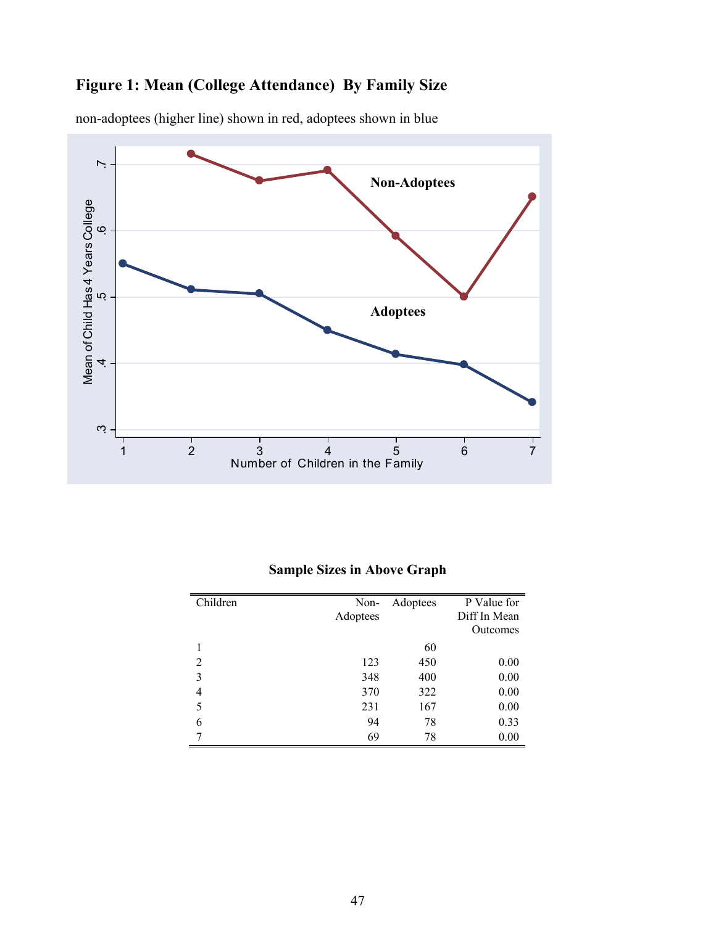## **Figure 1: Mean (College Attendance) By Family Size**



non-adoptees (higher line) shown in red, adoptees shown in blue

### **Sample Sizes in Above Graph**

| Children       | Non-<br>Adoptees | Adoptees | P Value for<br>Diff In Mean<br>Outcomes |
|----------------|------------------|----------|-----------------------------------------|
|                |                  | 60       |                                         |
| 2              | 123              | 450      | 0.00                                    |
| 3              | 348              | 400      | 0.00                                    |
| $\overline{4}$ | 370              | 322      | 0.00                                    |
| 5              | 231              | 167      | 0.00                                    |
| 6              | 94               | 78       | 0.33                                    |
|                | 69               | 78       | 0.00                                    |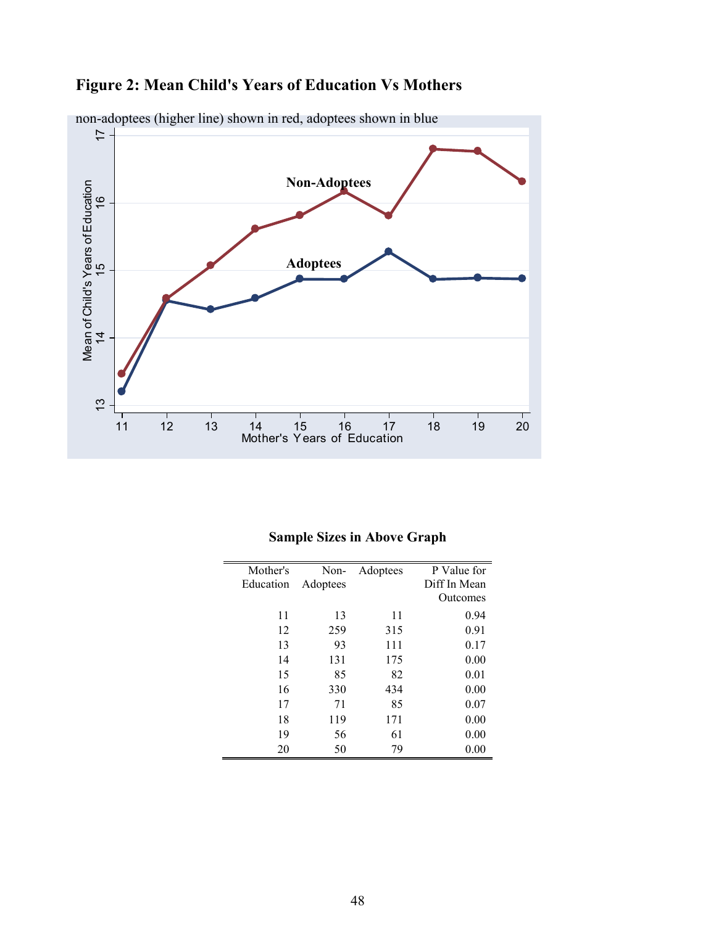**Figure 2: Mean Child's Years of Education Vs Mothers** 



non-adoptees (higher line) shown in red, adoptees shown in blue

| <b>Sample Sizes in Above Graph</b> |  |  |
|------------------------------------|--|--|
|                                    |  |  |

| Mother's  | Non-     | Adoptees | P Value for  |
|-----------|----------|----------|--------------|
| Education | Adoptees |          | Diff In Mean |
|           |          |          | Outcomes     |
| 11        | 13       | 11       | 0.94         |
| 12        | 259      | 315      | 0.91         |
| 13        | 93       | 111      | 0.17         |
| 14        | 131      | 175      | 0.00         |
| 15        | 85       | 82       | 0.01         |
| 16        | 330      | 434      | 0.00         |
| 17        | 71       | 85       | 0.07         |
| 18        | 119      | 171      | 0.00         |
| 19        | 56       | 61       | 0.00         |
| 20        | 50       | 79       | 0.00         |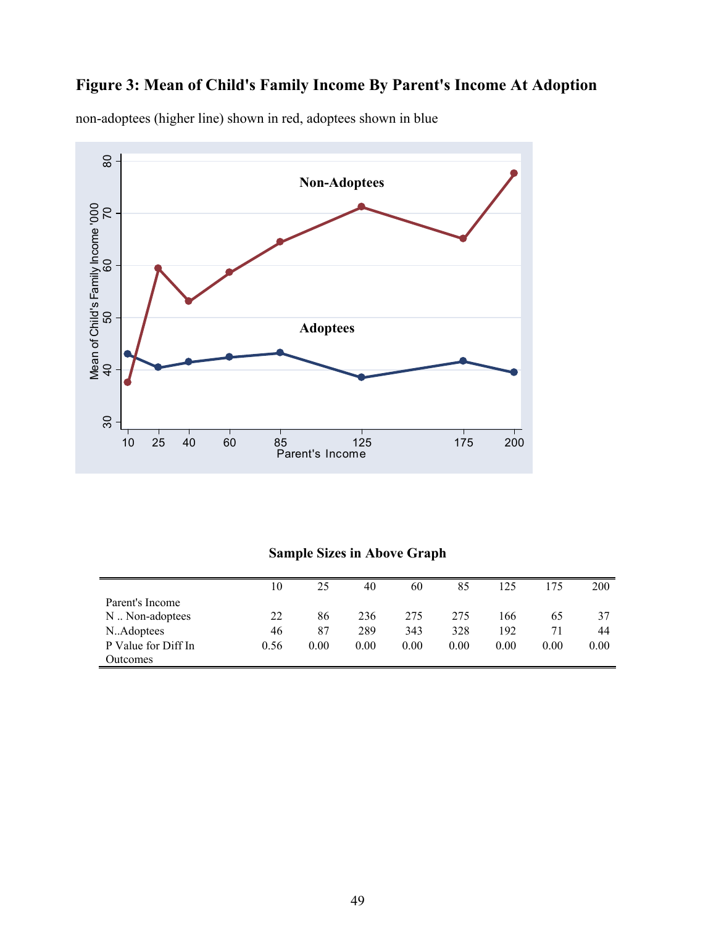# **Figure 3: Mean of Child's Family Income By Parent's Income At Adoption**



non-adoptees (higher line) shown in red, adoptees shown in blue

### **Sample Sizes in Above Graph**

|                     | 10   | 25   | 40   | 60   | 85   | 125  | 175  | 200  |
|---------------------|------|------|------|------|------|------|------|------|
| Parent's Income     |      |      |      |      |      |      |      |      |
| N  Non-adoptees     | 22   | 86   | 236  | 275  | 275  | 166  | 65   | 37   |
| N.Adoptees          | 46   | 87   | 289  | 343  | 328  | 192  | 71   | 44   |
| P Value for Diff In | 0.56 | 0.00 | 0.00 | 0.00 | 0.00 | 0.00 | 0.00 | 0.00 |
| Outcomes            |      |      |      |      |      |      |      |      |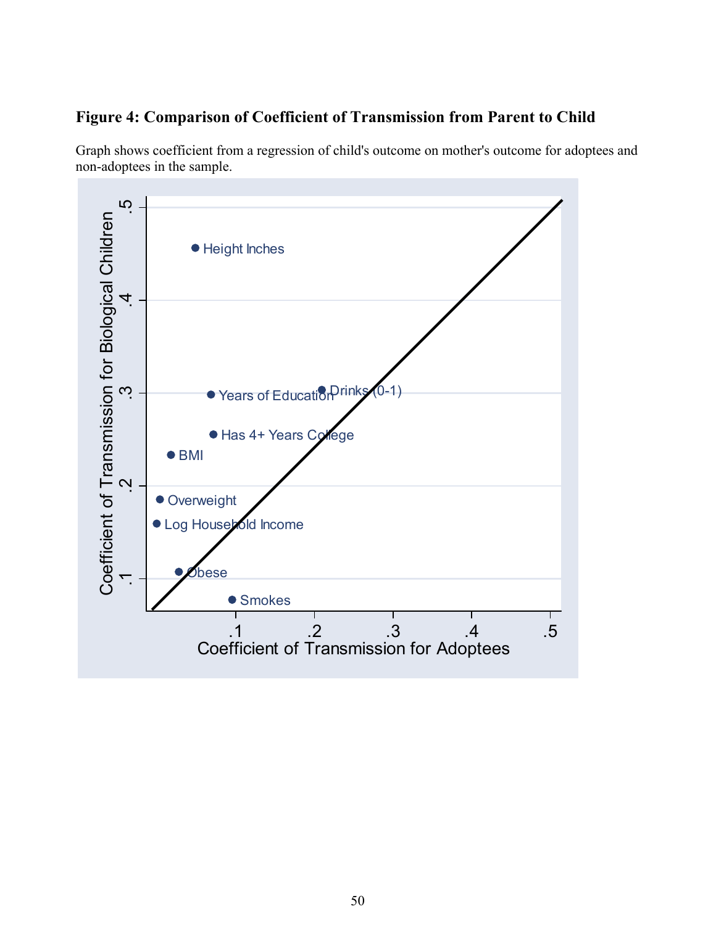## **Figure 4: Comparison of Coefficient of Transmission from Parent to Child**

Graph shows coefficient from a regression of child's outcome on mother's outcome for adoptees and non-adoptees in the sample.